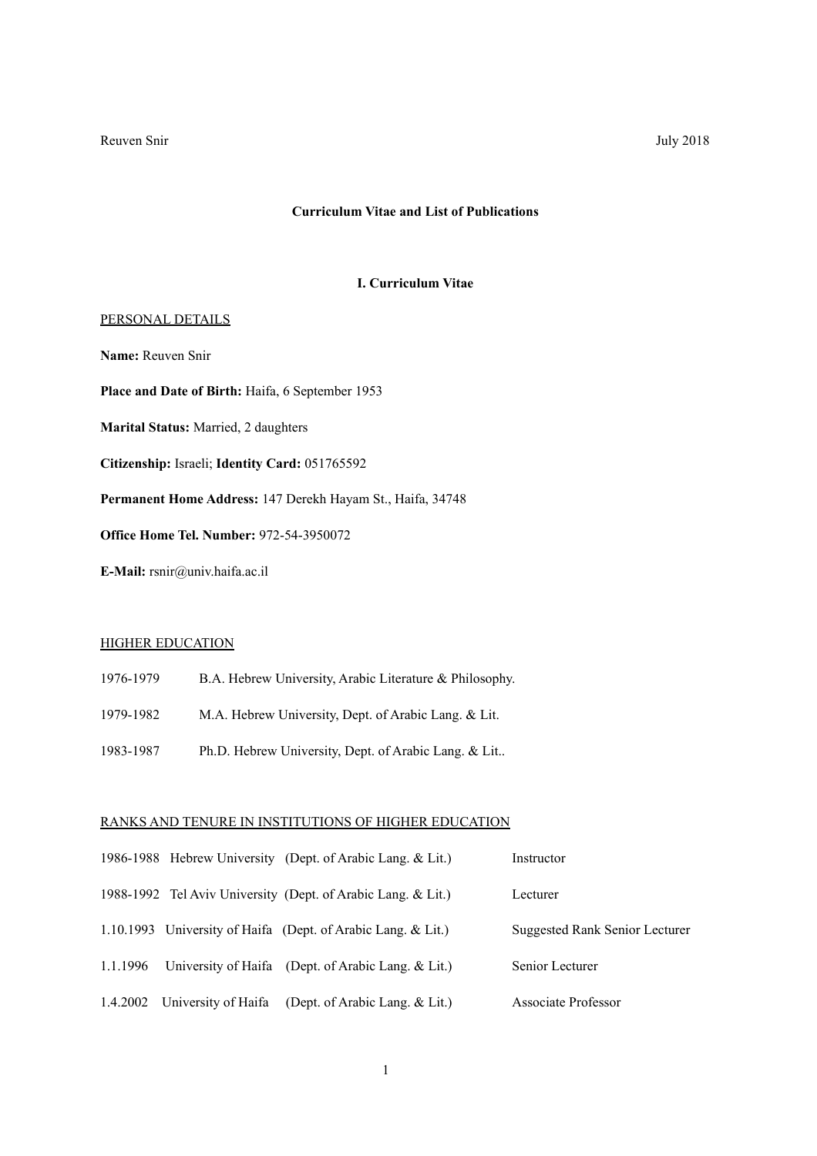### **Curriculum Vitae and List of Publications**

## **I. Curriculum Vitae**

### PERSONAL DETAILS

**Name:** Reuven Snir

**Place and Date of Birth:** Haifa, 6 September 1953

**Marital Status:** Married, 2 daughters

**Citizenship:** Israeli; **Identity Card:** 051765592

**Permanent Home Address:** 147 Derekh Hayam St., Haifa, 34748

**Office Home Tel. Number:** 972-54-3950072

**E-Mail:** rsnir@univ.haifa.ac.il

# **HIGHER EDUCATION**

- 1976-1979 B.A. Hebrew University, Arabic Literature & Philosophy.
- 1979-1982 M.A. Hebrew University, Dept. of Arabic Lang. & Lit.
- 1983-1987 Ph.D. Hebrew University, Dept. of Arabic Lang. & Lit..

## RANKS AND TENURE IN INSTITUTIONS OF HIGHER EDUCATION

|          | 1986-1988 Hebrew University (Dept. of Arabic Lang. & Lit.)   | Instructor                     |
|----------|--------------------------------------------------------------|--------------------------------|
|          | 1988-1992 Tel Aviv University (Dept. of Arabic Lang. & Lit.) | Lecturer                       |
|          | 1.10.1993 University of Haifa (Dept. of Arabic Lang. & Lit.) | Suggested Rank Senior Lecturer |
| 1.1.1996 | University of Haifa (Dept. of Arabic Lang. & Lit.)           | Senior Lecturer                |
|          | 1.4.2002 University of Haifa (Dept. of Arabic Lang. & Lit.)  | Associate Professor            |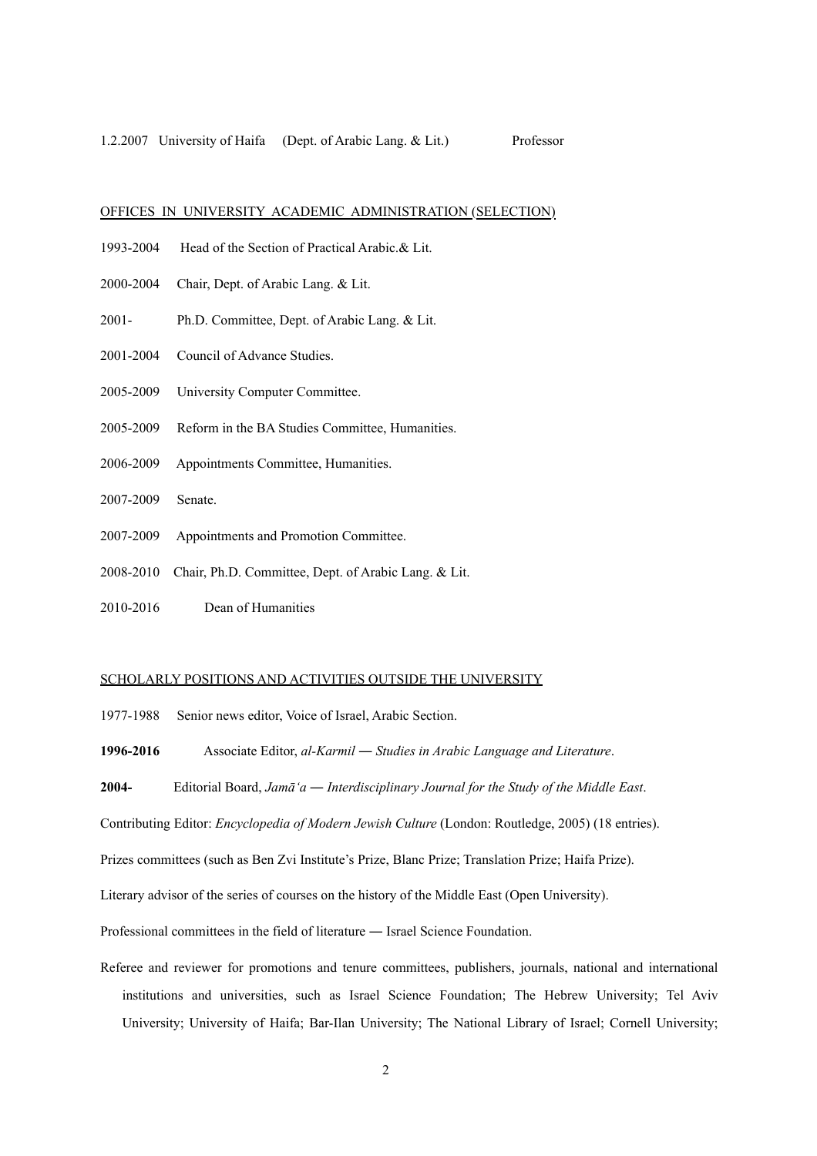### OFFICES IN UNIVERSITY ACADEMIC ADMINISTRATION (SELECTION)

- 1993-2004 Head of the Section of Practical Arabic.& Lit.
- 2000-2004 Chair, Dept. of Arabic Lang. & Lit.
- 2001- Ph.D. Committee, Dept. of Arabic Lang. & Lit.
- 2001-2004 Council of Advance Studies.
- 2005-2009 University Computer Committee.
- 2005-2009 Reform in the BA Studies Committee, Humanities.
- 2006-2009 Appointments Committee, Humanities.
- 2007-2009 Senate.
- 2007-2009 Appointments and Promotion Committee.
- 2008-2010 Chair, Ph.D. Committee, Dept. of Arabic Lang. & Lit.
- 2010-2016 Dean of Humanities

### SCHOLARLY POSITIONS AND ACTIVITIES OUTSIDE THE UNIVERSITY

1977-1988 Senior news editor, Voice of Israel, Arabic Section.

**1996-2016** Associate Editor, *al-Karmil* ― *Studies in Arabic Language and Literature*.

**2004-** Editorial Board, *Jamā'a ― Interdisciplinary Journal for the Study of the Middle East*.

Contributing Editor: *Encyclopedia of Modern Jewish Culture* (London: Routledge, 2005) (18 entries).

Prizes committees (such as Ben Zvi Institute's Prize, Blanc Prize; Translation Prize; Haifa Prize).

Literary advisor of the series of courses on the history of the Middle East (Open University).

Professional committees in the field of literature ― Israel Science Foundation.

Referee and reviewer for promotions and tenure committees, publishers, journals, national and international institutions and universities, such as Israel Science Foundation; The Hebrew University; Tel Aviv University; University of Haifa; Bar-Ilan University; The National Library of Israel; Cornell University;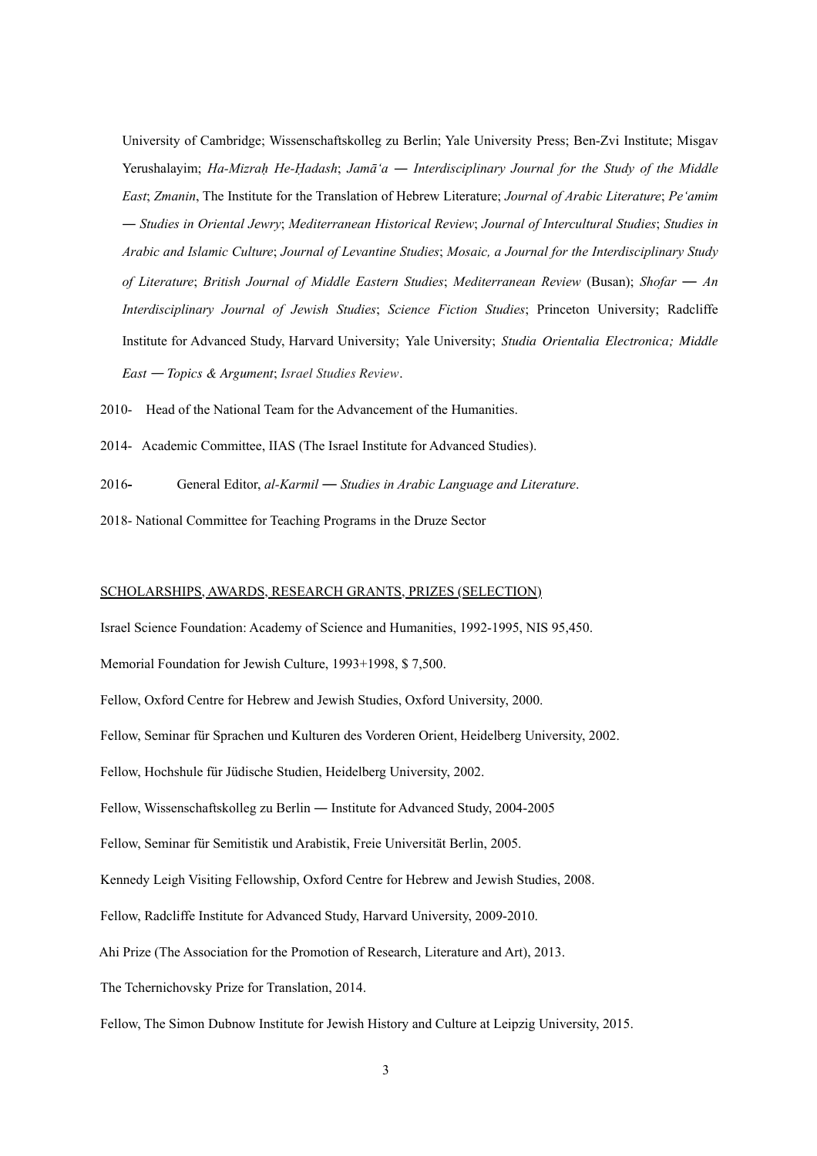University of Cambridge; Wissenschaftskolleg zu Berlin; Yale University Press; Ben-Zvi Institute; Misgav Yerushalayim; *Ha-Mizraḥ He-Ḥadash*; *Jamā'a* ― *Interdisciplinary Journal for the Study of the Middle East*; *Zmanin*, The Institute for the Translation of Hebrew Literature; *Journal of Arabic Literature*; *Pe'amim* ― *Studies in Oriental Jewry*; *Mediterranean Historical Review*; *Journal of Intercultural Studies*; *Studies in Arabic and Islamic Culture*; *Journal of Levantine Studies*; *Mosaic, a Journal for the Interdisciplinary Study of Literature*; *British Journal of Middle Eastern Studies*; *Mediterranean Review* (Busan); *Shofar* ― *An Interdisciplinary Journal of Jewish Studies*; *Science Fiction Studies*; Princeton University; Radcliffe Institute for Advanced Study, Harvard University; Yale University; *Studia Orientalia Electronica; Middle East* ― *Topics & Argument*; *Israel Studies Review*.

- 2010- Head of the National Team for the Advancement of the Humanities.
- 2014- Academic Committee, IIAS (The Israel Institute for Advanced Studies).
- 2016**-** General Editor, *al-Karmil* ― *Studies in Arabic Language and Literature*.
- 2018- National Committee for Teaching Programs in the Druze Sector

### SCHOLARSHIPS, AWARDS, RESEARCH GRANTS, PRIZES (SELECTION)

Israel Science Foundation: Academy of Science and Humanities, 1992-1995, NIS 95,450.

Memorial Foundation for Jewish Culture, 1993+1998, \$ 7,500.

Fellow, Oxford Centre for Hebrew and Jewish Studies, Oxford University, 2000.

Fellow, Seminar für Sprachen und Kulturen des Vorderen Orient, Heidelberg University, 2002.

Fellow, Hochshule für Jüdische Studien, Heidelberg University, 2002.

Fellow, Wissenschaftskolleg zu Berlin ― Institute for Advanced Study, 2004-2005

Fellow, Seminar für Semitistik und Arabistik, Freie Universität Berlin, 2005.

Kennedy Leigh Visiting Fellowship, Oxford Centre for Hebrew and Jewish Studies, 2008.

Fellow, Radcliffe Institute for Advanced Study, Harvard University, 2009-2010.

Ahi Prize (The Association for the Promotion of Research, Literature and Art), 2013.

The Tchernichovsky Prize for Translation, 2014.

Fellow, The Simon Dubnow Institute for Jewish History and Culture at Leipzig University, 2015.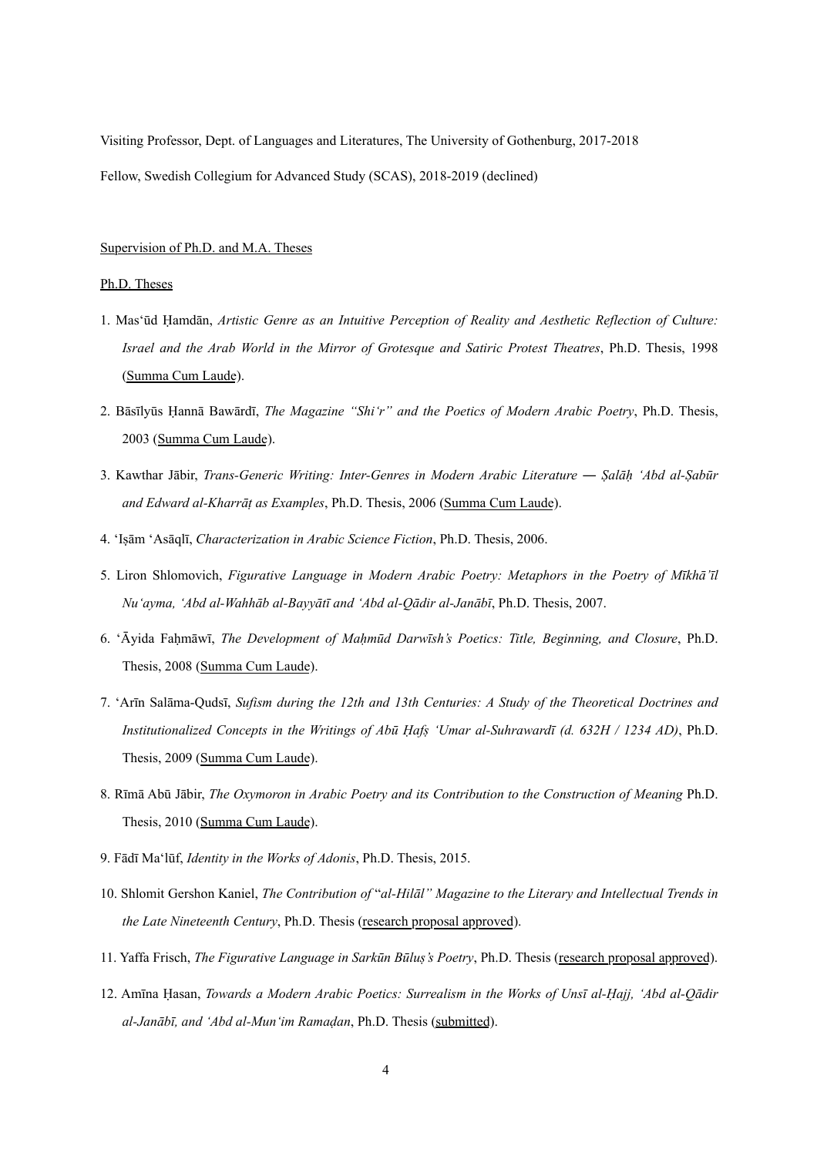Visiting Professor, Dept. of Languages and Literatures, The University of Gothenburg, 2017-2018 Fellow, Swedish Collegium for Advanced Study (SCAS), 2018-2019 (declined)

## Supervision of Ph.D. and M.A. Theses

## Ph.D. Theses

- 1. Mas'ūd Ḥamdān, *Artistic Genre as an Intuitive Perception of Reality and Aesthetic Reflection of Culture: Israel and the Arab World in the Mirror of Grotesque and Satiric Protest Theatres*, Ph.D. Thesis, 1998 (Summa Cum Laude).
- 2. Bāsīlyūs Ḥannā Bawārdī, *The Magazine "Shi'r" and the Poetics of Modern Arabic Poetry*, Ph.D. Thesis, 2003 (Summa Cum Laude).
- 3. Kawthar Jābir, *Trans-Generic Writing: Inter-Genres in Modern Arabic Literature* ― *Ṣalāḥ 'Abd al-Ṣabūr and Edward al-Kharrāṭ as Examples*, Ph.D. Thesis, 2006 (Summa Cum Laude).
- 4. 'Iṣām 'Asāqlī, *Characterization in Arabic Science Fiction*, Ph.D. Thesis, 2006.
- 5. Liron Shlomovich, *Figurative Language in Modern Arabic Poetry: Metaphors in the Poetry of Mīkhā'īl Nu'ayma, 'Abd al-Wahhāb al-Bayyātī and 'Abd al-Qādir al-Janābī*, Ph.D. Thesis, 2007.
- 6. 'Āyida Faḥmāwī, *The Development of Maḥmūd Darwīsh's Poetics: Title, Beginning, and Closure*, Ph.D. Thesis, 2008 (Summa Cum Laude).
- 7. 'Arīn Salāma-Qudsī, *Sufism during the 12th and 13th Centuries: A Study of the Theoretical Doctrines and Institutionalized Concepts in the Writings of Abū Ḥafṣ 'Umar al-Suhrawardī (d. 632H / 1234 AD)*, Ph.D. Thesis, 2009 (Summa Cum Laude).
- 8. Rīmā Abū Jābir, *The Oxymoron in Arabic Poetry and its Contribution to the Construction of Meaning* Ph.D. Thesis, 2010 (Summa Cum Laude).
- 9. Fādī Ma'lūf, *Identity in the Works of Adonis*, Ph.D. Thesis, 2015.
- 10. Shlomit Gershon Kaniel, *The Contribution of* "*al-Hilāl" Magazine to the Literary and Intellectual Trends in the Late Nineteenth Century*, Ph.D. Thesis (research proposal approved).
- 11. Yaffa Frisch, *The Figurative Language in Sarkūn Būluṣ's Poetry*, Ph.D. Thesis (research proposal approved).
- 12. Amīna Ḥasan, *Towards a Modern Arabic Poetics: Surrealism in the Works of Unsī al-Ḥajj, 'Abd al-Qādir al-Janābī, and 'Abd al-Mun'im Ramaḍan*, Ph.D. Thesis (submitted).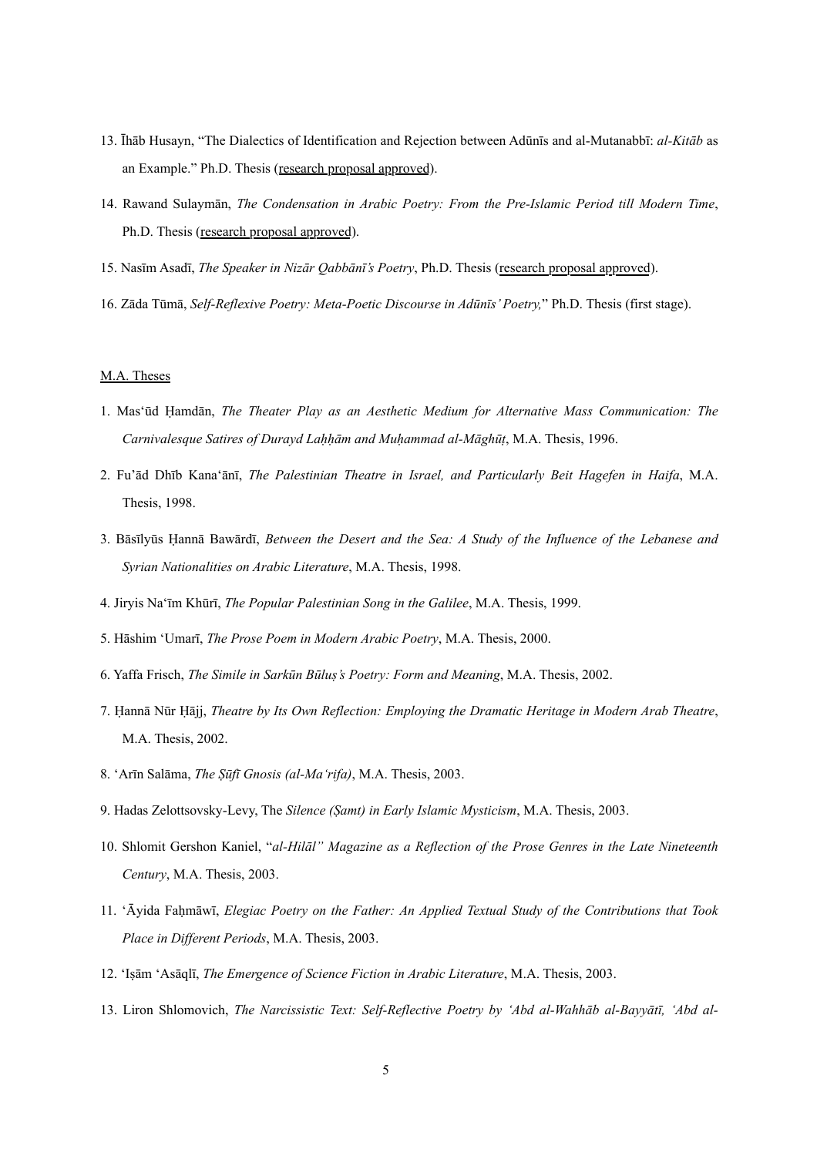- 13. Īhāb Husayn, "The Dialectics of Identification and Rejection between Adūnīs and al-Mutanabbī: *al-Kitāb* as an Example." Ph.D. Thesis (research proposal approved).
- 14. Rawand Sulaymān, *The Condensation in Arabic Poetry: From the Pre-Islamic Period till Modern Time*, Ph.D. Thesis (research proposal approved).
- 15. Nasīm Asadī, *The Speaker in Nizār Qabbānī's Poetry*, Ph.D. Thesis (research proposal approved).
- 16. Zāda Tūmā, *Self-Reflexive Poetry: Meta-Poetic Discourse in Adūnīs' Poetry,*" Ph.D. Thesis (first stage).

### M.A. Theses

- 1. Mas'ūd Ḥamdān, *The Theater Play as an Aesthetic Medium for Alternative Mass Communication: The Carnivalesque Satires of Durayd Laḥḥām and Muḥammad al-Māghūṭ*, M.A. Thesis, 1996.
- 2. Fu'ād Dhīb Kana'ānī, *The Palestinian Theatre in Israel, and Particularly Beit Hagefen in Haifa*, M.A. Thesis, 1998.
- 3. Bāsīlyūs Ḥannā Bawārdī, *Between the Desert and the Sea: A Study of the Influence of the Lebanese and Syrian Nationalities on Arabic Literature*, M.A. Thesis, 1998.
- 4. Jiryis Na'īm Khūrī, *The Popular Palestinian Song in the Galilee*, M.A. Thesis, 1999.
- 5. Hāshim 'Umarī, *The Prose Poem in Modern Arabic Poetry*, M.A. Thesis, 2000.
- 6. Yaffa Frisch, *The Simile in Sarkūn Būluṣ's Poetry: Form and Meaning*, M.A. Thesis, 2002.
- 7. Ḥannā Nūr Ḥājj, *Theatre by Its Own Reflection: Employing the Dramatic Heritage in Modern Arab Theatre*, M.A. Thesis, 2002.
- 8. 'Arīn Salāma, *The Ṣūfī Gnosis (al-Ma'rifa)*, M.A. Thesis, 2003.
- 9. Hadas Zelottsovsky-Levy, The *Silence (Ṣamt) in Early Islamic Mysticism*, M.A. Thesis, 2003.
- 10. Shlomit Gershon Kaniel, "*al-Hilāl" Magazine as a Reflection of the Prose Genres in the Late Nineteenth Century*, M.A. Thesis, 2003.
- 11. 'Āyida Faḥmāwī, *Elegiac Poetry on the Father: An Applied Textual Study of the Contributions that Took Place in Different Periods*, M.A. Thesis, 2003.
- 12. 'Iṣām 'Asāqlī, *The Emergence of Science Fiction in Arabic Literature*, M.A. Thesis, 2003.
- 13. Liron Shlomovich, *The Narcissistic Text: Self-Reflective Poetry by 'Abd al-Wahhāb al-Bayyātī, 'Abd al-*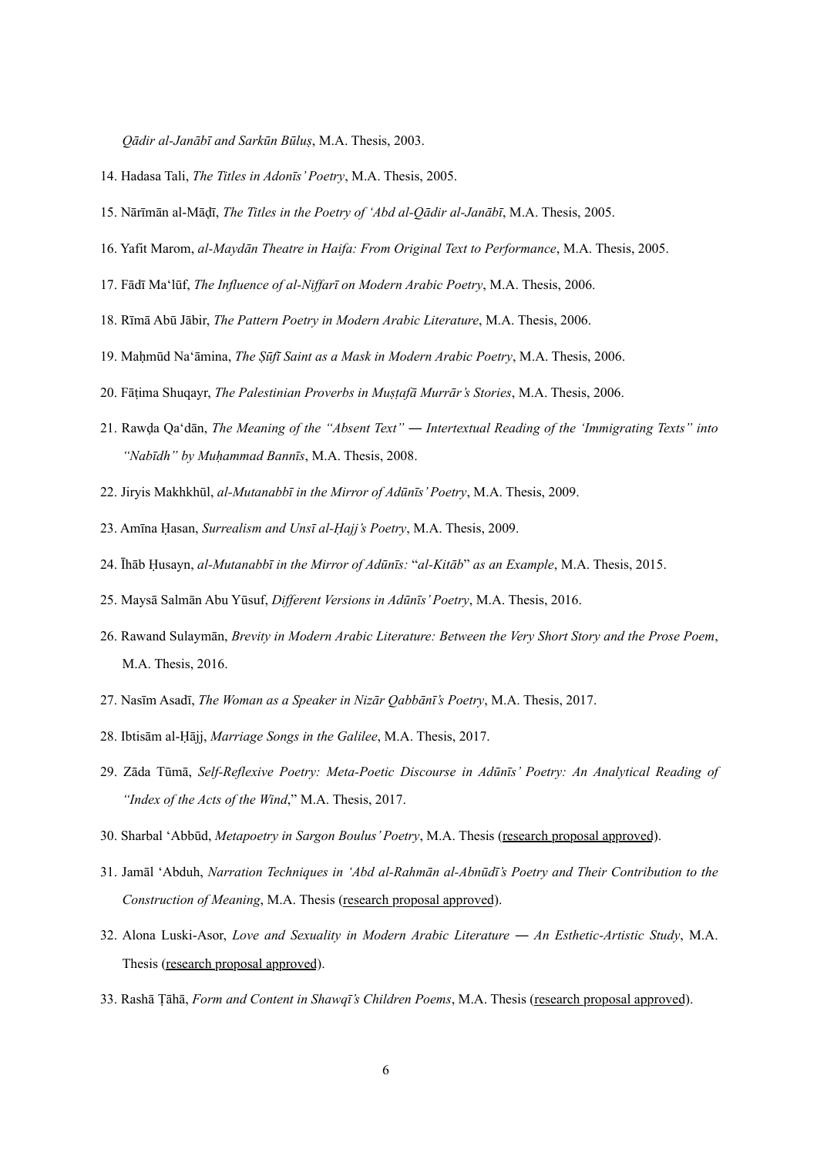*Qādir al-Janābī and Sarkūn Būluṣ*, M.A. Thesis, 2003.

- 14. Hadasa Tali, *The Titles in Adonīs' Poetry*, M.A. Thesis, 2005.
- 15. Nārīmān al-Māḍī, *The Titles in the Poetry of 'Abd al-Qādir al-Janābī*, M.A. Thesis, 2005.
- 16. Yafit Marom, *al-Maydān Theatre in Haifa: From Original Text to Performance*, M.A. Thesis, 2005.
- 17. Fādī Ma'lūf, *The Influence of al-Niffarī on Modern Arabic Poetry*, M.A. Thesis, 2006.
- 18. Rīmā Abū Jābir, *The Pattern Poetry in Modern Arabic Literature*, M.A. Thesis, 2006.
- 19. Maḥmūd Na'āmina, *The Ṣūfī Saint as a Mask in Modern Arabic Poetry*, M.A. Thesis, 2006.
- 20. Fāṭima Shuqayr, *The Palestinian Proverbs in Muṣṭafā Murrār's Stories*, M.A. Thesis, 2006.
- 21. Rawḍa Qa'dān, *The Meaning of the "Absent Text" ― Intertextual Reading of the 'Immigrating Texts" into "Nabīdh" by Muḥammad Bannīs*, M.A. Thesis, 2008.
- 22. Jiryis Makhkhūl, *al-Mutanabbī in the Mirror of Adūnīs' Poetry*, M.A. Thesis, 2009.
- 23. Amīna Ḥasan, *Surrealism and Unsī al-Ḥajj's Poetry*, M.A. Thesis, 2009.
- 24. Īhāb Ḥusayn, *al-Mutanabbī in the Mirror of Adūnīs:* "*al-Kitāb*" *as an Example*, M.A. Thesis, 2015.
- 25. Maysā Salmān Abu Yūsuf, *Different Versions in Adūnīs' Poetry*, M.A. Thesis, 2016.
- 26. Rawand Sulaymān, *Brevity in Modern Arabic Literature: Between the Very Short Story and the Prose Poem*, M.A. Thesis, 2016.
- 27. Nasīm Asadī, *The Woman as a Speaker in Nizār Qabbānī's Poetry*, M.A. Thesis, 2017.
- 28. Ibtisām al-Ḥājj, *Marriage Songs in the Galilee*, M.A. Thesis, 2017.
- 29. Zāda Tūmā, *Self-Reflexive Poetry: Meta-Poetic Discourse in Adūnīs' Poetry: An Analytical Reading of "Index of the Acts of the Wind*," M.A. Thesis, 2017.
- 30. Sharbal 'Abbūd, *Metapoetry in Sargon Boulus' Poetry*, M.A. Thesis (research proposal approved).
- 31. Jamāl 'Abduh, *Narration Techniques in 'Abd al-Rahmān al-Abnūdī's Poetry and Their Contribution to the Construction of Meaning*, M.A. Thesis (research proposal approved).
- 32. Alona Luski-Asor, *Love and Sexuality in Modern Arabic Literature ― An Esthetic-Artistic Study*, M.A. Thesis (research proposal approved).
- 33. Rashā Ṭāhā, *Form and Content in Shawqī's Children Poems*, M.A. Thesis (research proposal approved).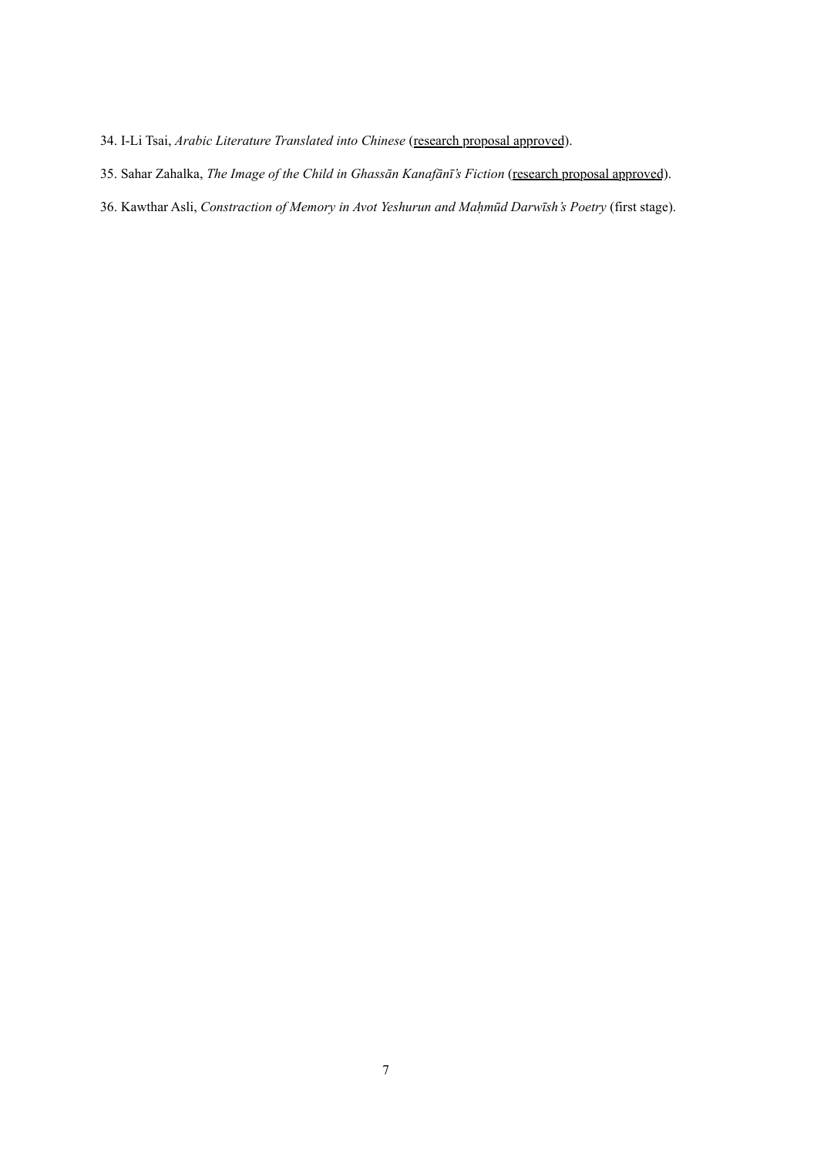- 34. I-Li Tsai, Arabic Literature Translated into Chinese (research proposal approved).
- 35. Sahar Zahalka, *The Image of the Child in Ghassān Kanafānī's Fiction* (research proposal approved).
- 36. Kawthar Asli, *Constraction of Memory in Avot Yeshurun and Maḥmūd Darwīsh's Poetry* (first stage).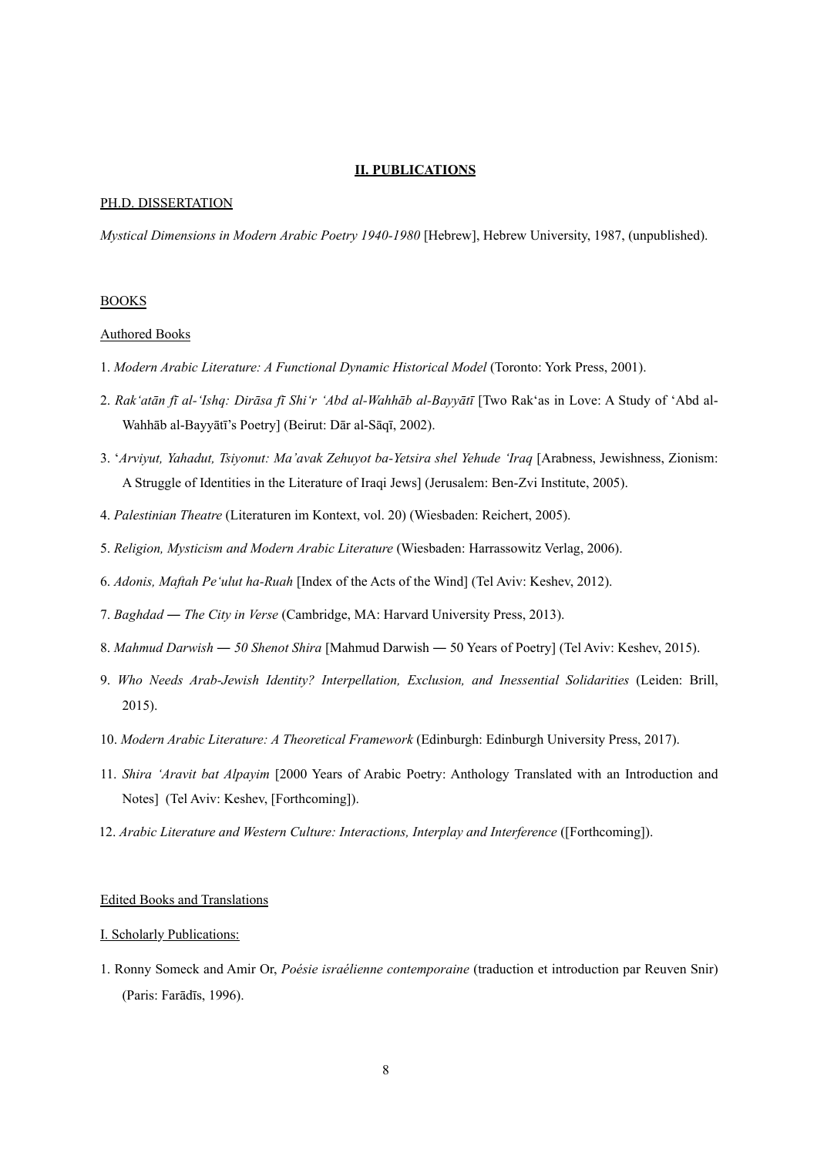### **II. PUBLICATIONS**

### PH.D. DISSERTATION

*Mystical Dimensions in Modern Arabic Poetry 1940-1980* [Hebrew], Hebrew University, 1987, (unpublished).

## BOOKS

#### Authored Books

- 1. *Modern Arabic Literature: A Functional Dynamic Historical Model* (Toronto: York Press, 2001).
- 2. *Rak'atān fī al-'Ishq: Dirāsa fī Shi'r 'Abd al-Wahhāb al-Bayyātī* [Two Rak'as in Love: A Study of 'Abd al-Wahhāb al-Bayyātī's Poetry] (Beirut: Dār al-Sāqī, 2002).
- 3. '*Arviyut, Yahadut, Tsiyonut: Ma'avak Zehuyot ba-Yetsira shel Yehude 'Iraq* [Arabness, Jewishness, Zionism: A Struggle of Identities in the Literature of Iraqi Jews] (Jerusalem: Ben-Zvi Institute, 2005).
- 4. *Palestinian Theatre* (Literaturen im Kontext, vol. 20) (Wiesbaden: Reichert, 2005).
- 5. *Religion, Mysticism and Modern Arabic Literature* (Wiesbaden: Harrassowitz Verlag, 2006).
- 6. *Adonis, Maftah Pe'ulut ha-Ruah* [Index of the Acts of the Wind] (Tel Aviv: Keshev, 2012).
- 7. *Baghdad ― The City in Verse* (Cambridge, MA: Harvard University Press, 2013).
- 8. *Mahmud Darwish ― 50 Shenot Shira* [Mahmud Darwish *―* 50 Years of Poetry] (Tel Aviv: Keshev, 2015).
- 9. *Who Needs Arab-Jewish Identity? Interpellation, Exclusion, and Inessential Solidarities* (Leiden: Brill, 2015).
- 10. *Modern Arabic Literature: A Theoretical Framework* (Edinburgh: Edinburgh University Press, 2017).
- 11. *Shira 'Aravit bat Alpayim* [2000 Years of Arabic Poetry: Anthology Translated with an Introduction and Notes] (Tel Aviv: Keshev, [Forthcoming]).
- 12. *Arabic Literature and Western Culture: Interactions, Interplay and Interference* ([Forthcoming]).

## Edited Books and Translations

## I. Scholarly Publications:

1. Ronny Someck and Amir Or, *Poésie israélienne contemporaine* (traduction et introduction par Reuven Snir) (Paris: Farādīs, 1996).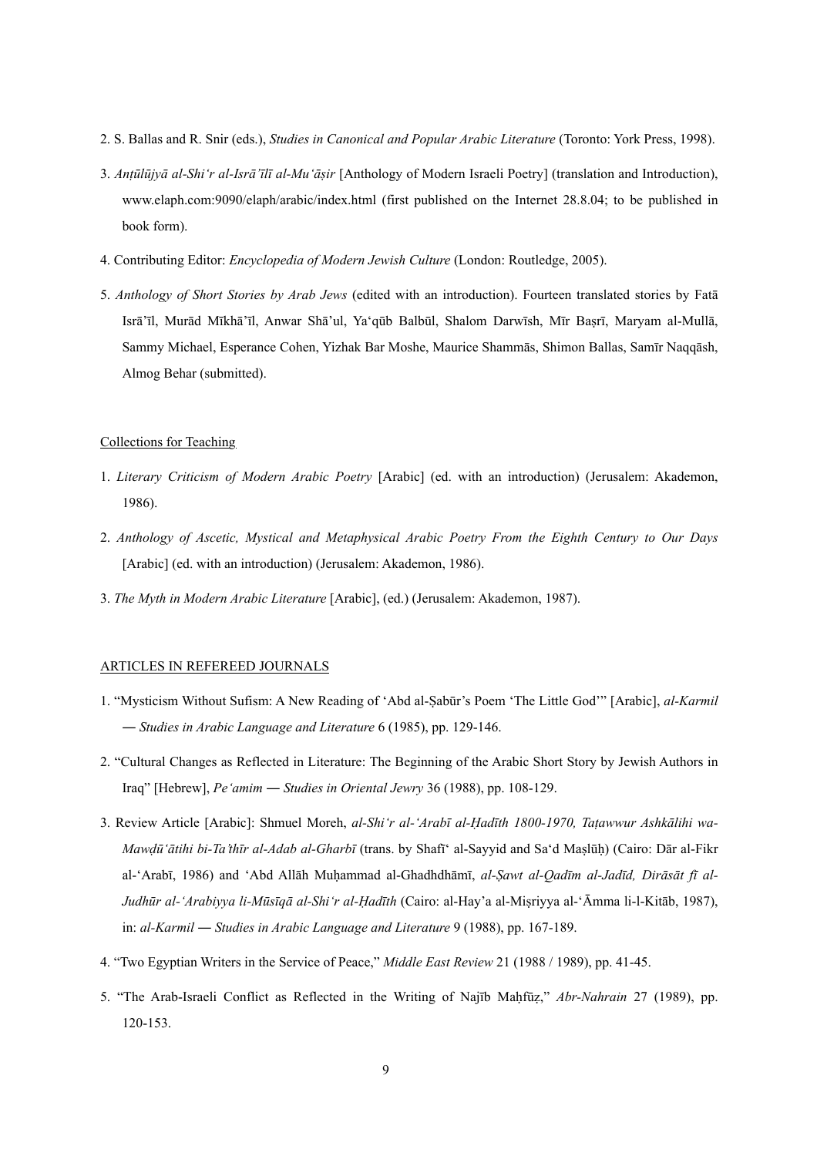- 2. S. Ballas and R. Snir (eds.), *Studies in Canonical and Popular Arabic Literature* (Toronto: York Press, 1998).
- 3. *Anṭūlūjyā al-Shi'r al-Isrā'īlī al-Mu'āṣir* [Anthology of Modern Israeli Poetry] (translation and Introduction), www.elaph.com:9090/elaph/arabic/index.html (first published on the Internet 28.8.04; to be published in book form).
- 4. Contributing Editor: *Encyclopedia of Modern Jewish Culture* (London: Routledge, 2005).
- 5. *Anthology of Short Stories by Arab Jews* (edited with an introduction). Fourteen translated stories by Fatā Isrā'īl, Murād Mīkhā'īl, Anwar Shā'ul, Ya'qūb Balbūl, Shalom Darwīsh, Mīr Baṣrī, Maryam al-Mullā, Sammy Michael, Esperance Cohen, Yizhak Bar Moshe, Maurice Shammās, Shimon Ballas, Samīr Naqqāsh, Almog Behar (submitted).

### Collections for Teaching

- 1. *Literary Criticism of Modern Arabic Poetry* [Arabic] (ed. with an introduction) (Jerusalem: Akademon, 1986).
- 2. *Anthology of Ascetic, Mystical and Metaphysical Arabic Poetry From the Eighth Century to Our Days* [Arabic] (ed. with an introduction) (Jerusalem: Akademon, 1986).
- 3. *The Myth in Modern Arabic Literature* [Arabic], (ed.) (Jerusalem: Akademon, 1987).

## ARTICLES IN REFEREED JOURNALS

- 1. "Mysticism Without Sufism: A New Reading of 'Abd al-Ṣabūr's Poem 'The Little God'" [Arabic], *al-Karmil* ― *Studies in Arabic Language and Literature* 6 (1985), pp. 129-146.
- 2. "Cultural Changes as Reflected in Literature: The Beginning of the Arabic Short Story by Jewish Authors in Iraq" [Hebrew], *Pe'amim* ― *Studies in Oriental Jewry* 36 (1988), pp. 108-129.
- 3. Review Article [Arabic]: Shmuel Moreh, *al-Shi'r al-'Arabī al-Ḥadīth 1800-1970, Taṭawwur Ashkālihi wa-Mawḍū'ātihi bi-Ta'thīr al-Adab al-Gharbī* (trans. by Shafī' al-Sayyid and Sa'd Maṣlūḥ) (Cairo: Dār al-Fikr al-'Arabī, 1986) and 'Abd Allāh Muḥammad al-Ghadhdhāmī, *al-Ṣawt al-Qadīm al-Jadīd, Dirāsāt fī al-Judhūr al-'Arabiyya li-Mūsīqā al-Shi'r al-Ḥadīth* (Cairo: al-Hay'a al-Miṣriyya al-'Āmma li-l-Kitāb, 1987), in: *al-Karmil* ― *Studies in Arabic Language and Literature* 9 (1988), pp. 167-189.
- 4. "Two Egyptian Writers in the Service of Peace," *Middle East Review* 21 (1988 / 1989), pp. 41-45.
- 5. "The Arab-Israeli Conflict as Reflected in the Writing of Najīb Maḥfūẓ," *Abr-Nahrain* 27 (1989), pp. 120-153.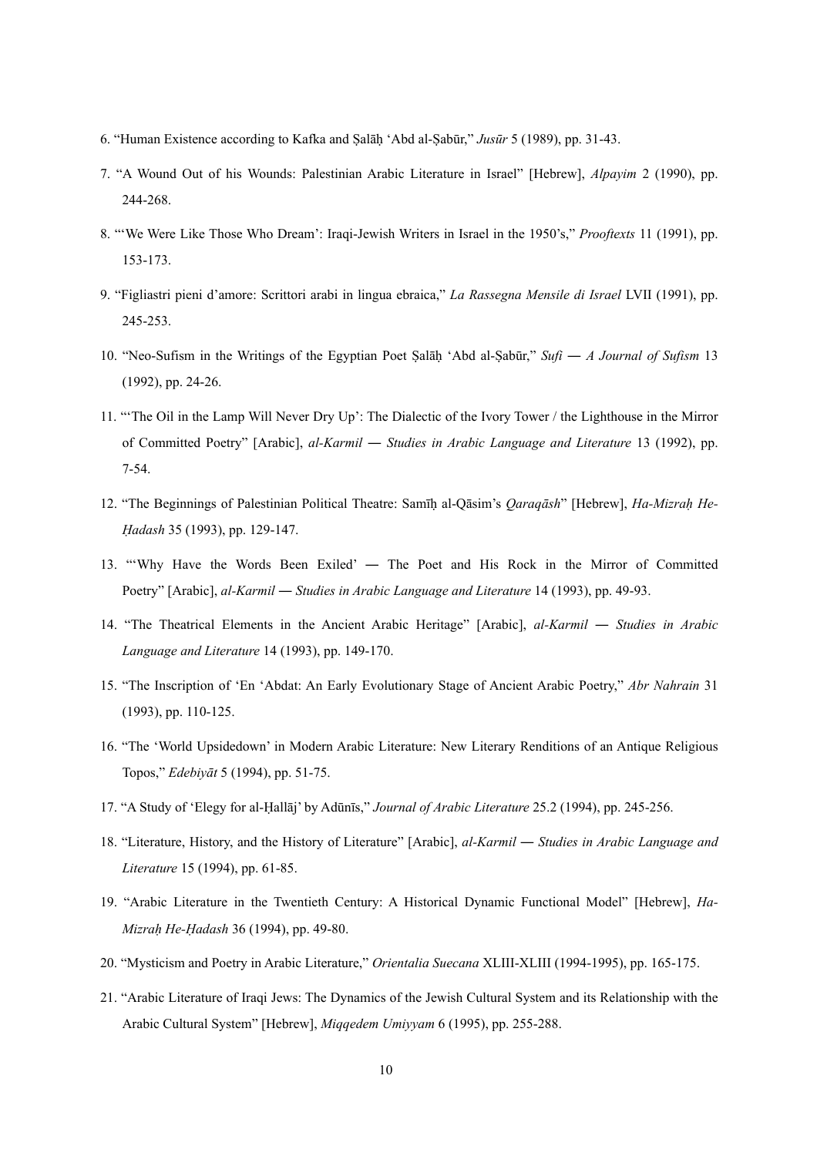- 6. "Human Existence according to Kafka and Ṣalāḥ 'Abd al-Ṣabūr," *Jusūr* 5 (1989), pp. 31-43.
- 7. "A Wound Out of his Wounds: Palestinian Arabic Literature in Israel" [Hebrew], *Alpayim* 2 (1990), pp. 244-268.
- 8. "'We Were Like Those Who Dream': Iraqi-Jewish Writers in Israel in the 1950's," *Prooftexts* 11 (1991), pp. 153-173.
- 9. "Figliastri pieni d'amore: Scrittori arabi in lingua ebraica," *La Rassegna Mensile di Israel* LVII (1991), pp. 245-253.
- 10. "Neo-Sufism in the Writings of the Egyptian Poet Ṣalāḥ 'Abd al-Ṣabūr," *Sufi* ― *A Journal of Sufism* 13 (1992), pp. 24-26.
- 11. "'The Oil in the Lamp Will Never Dry Up': The Dialectic of the Ivory Tower / the Lighthouse in the Mirror of Committed Poetry" [Arabic], *al-Karmil* ― *Studies in Arabic Language and Literature* 13 (1992), pp. 7-54.
- 12. "The Beginnings of Palestinian Political Theatre: Samīḥ al-Qāsim's *Qaraqāsh*" [Hebrew], *Ha-Mizraḥ He-Ḥadash* 35 (1993), pp. 129-147.
- 13. "'Why Have the Words Been Exiled' ― The Poet and His Rock in the Mirror of Committed Poetry" [Arabic], *al-Karmil* ― *Studies in Arabic Language and Literature* 14 (1993), pp. 49-93.
- 14. "The Theatrical Elements in the Ancient Arabic Heritage" [Arabic], *al-Karmil* ― *Studies in Arabic Language and Literature* 14 (1993), pp. 149-170.
- 15. "The Inscription of 'En 'Abdat: An Early Evolutionary Stage of Ancient Arabic Poetry," *Abr Nahrain* 31 (1993), pp. 110-125.
- 16. "The 'World Upsidedown' in Modern Arabic Literature: New Literary Renditions of an Antique Religious Topos," *Edebiyāt* 5 (1994), pp. 51-75.
- 17. "A Study of 'Elegy for al-Ḥallāj' by Adūnīs," *Journal of Arabic Literature* 25.2 (1994), pp. 245-256.
- 18. "Literature, History, and the History of Literature" [Arabic], *al-Karmil* ― *Studies in Arabic Language and Literature* 15 (1994), pp. 61-85.
- 19. "Arabic Literature in the Twentieth Century: A Historical Dynamic Functional Model" [Hebrew], *Ha-Mizraḥ He-Ḥadash* 36 (1994), pp. 49-80.
- 20. "Mysticism and Poetry in Arabic Literature," *Orientalia Suecana* XLIII-XLIII (1994-1995), pp. 165-175.
- 21. "Arabic Literature of Iraqi Jews: The Dynamics of the Jewish Cultural System and its Relationship with the Arabic Cultural System" [Hebrew], *Miqqedem Umiyyam* 6 (1995), pp. 255-288.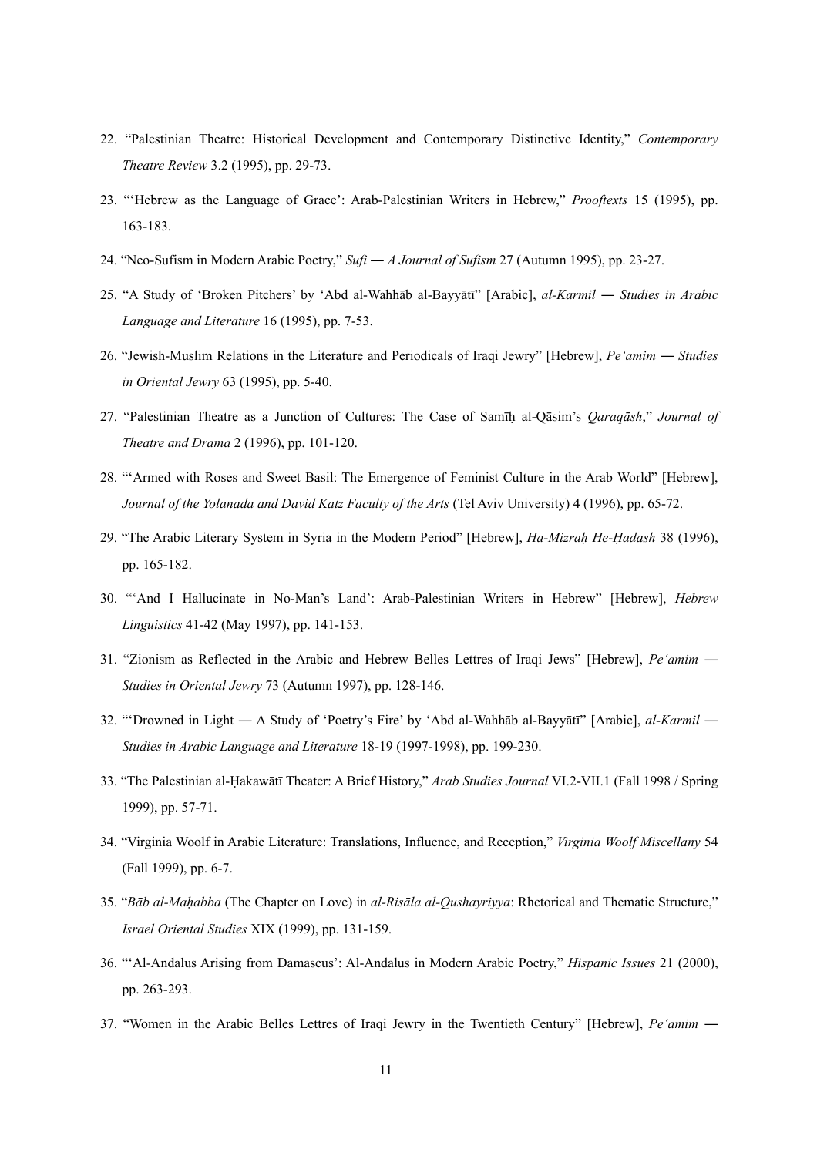- 22. "Palestinian Theatre: Historical Development and Contemporary Distinctive Identity," *Contemporary Theatre Review* 3.2 (1995), pp. 29-73.
- 23. "'Hebrew as the Language of Grace': Arab-Palestinian Writers in Hebrew," *Prooftexts* 15 (1995), pp. 163-183.
- 24. "Neo-Sufism in Modern Arabic Poetry," *Sufi* ― *A Journal of Sufism* 27 (Autumn 1995), pp. 23-27.
- 25. "A Study of 'Broken Pitchers' by 'Abd al-Wahhāb al-Bayyātī" [Arabic], *al-Karmil* ― *Studies in Arabic Language and Literature* 16 (1995), pp. 7-53.
- 26. "Jewish-Muslim Relations in the Literature and Periodicals of Iraqi Jewry" [Hebrew], *Pe'amim* ― *Studies in Oriental Jewry* 63 (1995), pp. 5-40.
- 27. "Palestinian Theatre as a Junction of Cultures: The Case of Samīḥ al-Qāsim's *Qaraqāsh*," *Journal of Theatre and Drama* 2 (1996), pp. 101-120.
- 28. "'Armed with Roses and Sweet Basil: The Emergence of Feminist Culture in the Arab World" [Hebrew], *Journal of the Yolanada and David Katz Faculty of the Arts* (Tel Aviv University) 4 (1996), pp. 65-72.
- 29. "The Arabic Literary System in Syria in the Modern Period" [Hebrew], *Ha-Mizraḥ He-Ḥadash* 38 (1996), pp. 165-182.
- 30. "'And I Hallucinate in No-Man's Land': Arab-Palestinian Writers in Hebrew" [Hebrew], *Hebrew Linguistics* 41-42 (May 1997), pp. 141-153.
- 31. "Zionism as Reflected in the Arabic and Hebrew Belles Lettres of Iraqi Jews" [Hebrew], *Pe'amim* ― *Studies in Oriental Jewry* 73 (Autumn 1997), pp. 128-146.
- 32. "'Drowned in Light ― A Study of 'Poetry's Fire' by 'Abd al-Wahhāb al-Bayyātī" [Arabic], *al-Karmil* ― *Studies in Arabic Language and Literature* 18-19 (1997-1998), pp. 199-230.
- 33. "The Palestinian al-Ḥakawātī Theater: A Brief History," *Arab Studies Journal* VI.2-VII.1 (Fall 1998 / Spring 1999), pp. 57-71.
- 34. "Virginia Woolf in Arabic Literature: Translations, Influence, and Reception," *Virginia Woolf Miscellany* 54 (Fall 1999), pp. 6-7.
- 35. "*Bāb al-Maḥabba* (The Chapter on Love) in *al-Risāla al-Qushayriyya*: Rhetorical and Thematic Structure," *Israel Oriental Studies* XIX (1999), pp. 131-159.
- 36. "'Al-Andalus Arising from Damascus': Al-Andalus in Modern Arabic Poetry," *Hispanic Issues* 21 (2000), pp. 263-293.
- 37. "Women in the Arabic Belles Lettres of Iraqi Jewry in the Twentieth Century" [Hebrew], *Pe'amim* ―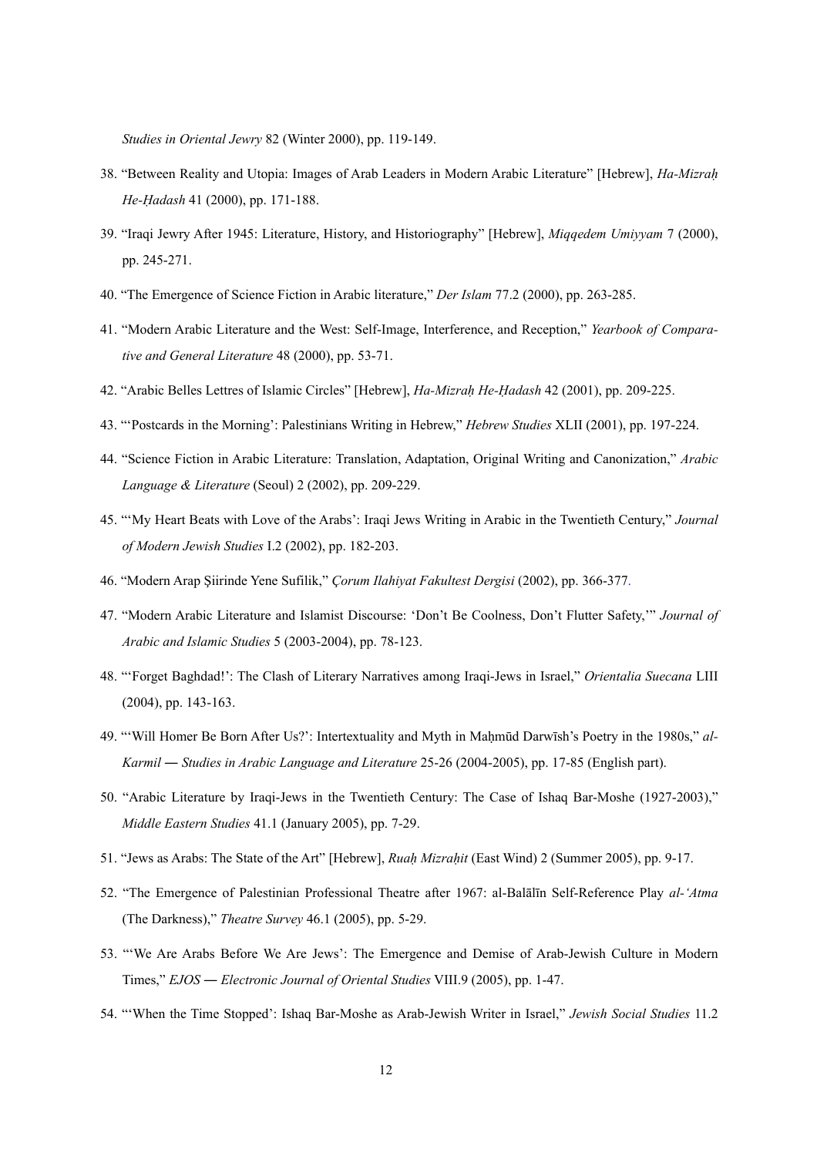*Studies in Oriental Jewry* 82 (Winter 2000), pp. 119-149.

- 38. "Between Reality and Utopia: Images of Arab Leaders in Modern Arabic Literature" [Hebrew], *Ha-Mizraḥ He-Ḥadash* 41 (2000), pp. 171-188.
- 39. "Iraqi Jewry After 1945: Literature, History, and Historiography" [Hebrew], *Miqqedem Umiyyam* 7 (2000), pp. 245-271.
- 40. "The Emergence of Science Fiction in Arabic literature," *Der Islam* 77.2 (2000), pp. 263-285.
- 41. "Modern Arabic Literature and the West: Self-Image, Interference, and Reception," *Yearbook of Comparative and General Literature* 48 (2000), pp. 53-71.
- 42. "Arabic Belles Lettres of Islamic Circles" [Hebrew], *Ha-Mizraḥ He-Ḥadash* 42 (2001), pp. 209-225.
- 43. "'Postcards in the Morning': Palestinians Writing in Hebrew," *Hebrew Studies* XLII (2001), pp. 197-224.
- 44. "Science Fiction in Arabic Literature: Translation, Adaptation, Original Writing and Canonization," *Arabic Language & Literature* (Seoul) 2 (2002), pp. 209-229.
- 45. "'My Heart Beats with Love of the Arabs': Iraqi Jews Writing in Arabic in the Twentieth Century," *Journal of Modern Jewish Studies* I.2 (2002), pp. 182-203.
- 46. "Modern Arap Şiirinde Yene Sufilik," *Çorum Ilahiyat Fakultest Dergisi* (2002), pp. 366-377.
- 47. "Modern Arabic Literature and Islamist Discourse: 'Don't Be Coolness, Don't Flutter Safety,'" *Journal of Arabic and Islamic Studies* 5 (2003-2004), pp. 78-123.
- 48. "'Forget Baghdad!': The Clash of Literary Narratives among Iraqi-Jews in Israel," *Orientalia Suecana* LIII (2004), pp. 143-163.
- 49. "'Will Homer Be Born After Us?': Intertextuality and Myth in Maḥmūd Darwīsh's Poetry in the 1980s," *al-Karmil* ― *Studies in Arabic Language and Literature* 25-26 (2004-2005), pp. 17-85 (English part).
- 50. "Arabic Literature by Iraqi-Jews in the Twentieth Century: The Case of Ishaq Bar-Moshe (1927-2003)," *Middle Eastern Studies* 41.1 (January 2005), pp. 7-29.
- 51. "Jews as Arabs: The State of the Art" [Hebrew], *Ruaḥ Mizraḥit* (East Wind) 2 (Summer 2005), pp. 9-17.
- 52. "The Emergence of Palestinian Professional Theatre after 1967: al-Balālīn Self-Reference Play *al-'Atma* (The Darkness)," *Theatre Survey* 46.1 (2005), pp. 5-29.
- 53. "'We Are Arabs Before We Are Jews': The Emergence and Demise of Arab-Jewish Culture in Modern Times," *EJOS* ― *Electronic Journal of Oriental Studies* VIII.9 (2005), pp. 1-47.
- 54. "'When the Time Stopped': Ishaq Bar-Moshe as Arab-Jewish Writer in Israel," *Jewish Social Studies* 11.2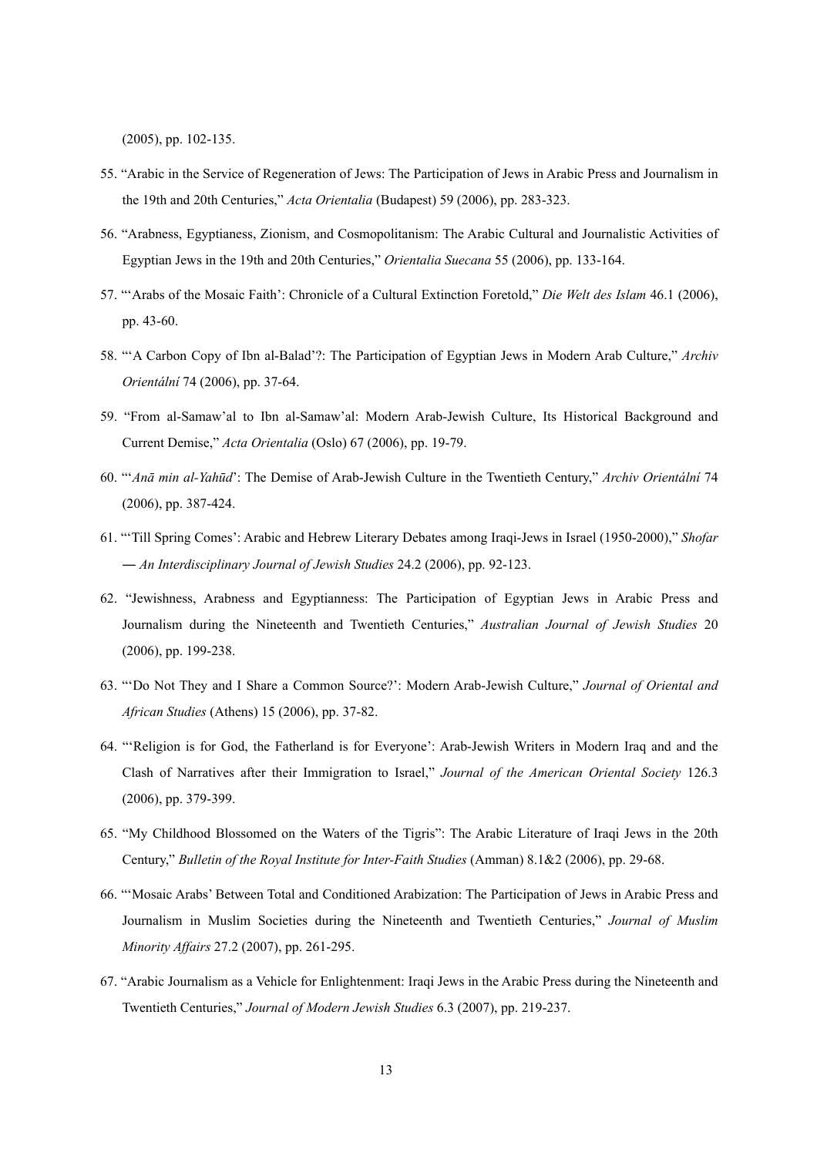(2005), pp. 102-135.

- 55. "Arabic in the Service of Regeneration of Jews: The Participation of Jews in Arabic Press and Journalism in the 19th and 20th Centuries," *Acta Orientalia* (Budapest) 59 (2006), pp. 283-323.
- 56. "Arabness, Egyptianess, Zionism, and Cosmopolitanism: The Arabic Cultural and Journalistic Activities of Egyptian Jews in the 19th and 20th Centuries," *Orientalia Suecana* 55 (2006), pp. 133-164.
- 57. "'Arabs of the Mosaic Faith': Chronicle of a Cultural Extinction Foretold," *Die Welt des Islam* 46.1 (2006), pp. 43-60.
- 58. "'A Carbon Copy of Ibn al-Balad'?: The Participation of Egyptian Jews in Modern Arab Culture," *Archiv Orientální* 74 (2006), pp. 37-64.
- 59. "From al-Samaw'al to Ibn al-Samaw'al: Modern Arab-Jewish Culture, Its Historical Background and Current Demise," *Acta Orientalia* (Oslo) 67 (2006), pp. 19-79.
- 60. "'*Anā min al-Yahūd*': The Demise of Arab-Jewish Culture in the Twentieth Century," *Archiv Orientální* 74 (2006), pp. 387-424.
- 61. "'Till Spring Comes': Arabic and Hebrew Literary Debates among Iraqi-Jews in Israel (1950-2000)," *Shofar* ― *An Interdisciplinary Journal of Jewish Studies* 24.2 (2006), pp. 92-123.
- 62. "Jewishness, Arabness and Egyptianness: The Participation of Egyptian Jews in Arabic Press and Journalism during the Nineteenth and Twentieth Centuries," *Australian Journal of Jewish Studies* 20 (2006), pp. 199-238.
- 63. "'Do Not They and I Share a Common Source?': Modern Arab-Jewish Culture," *Journal of Oriental and African Studies* (Athens) 15 (2006), pp. 37-82.
- 64. "'Religion is for God, the Fatherland is for Everyone': Arab-Jewish Writers in Modern Iraq and and the Clash of Narratives after their Immigration to Israel," *Journal of the American Oriental Society* 126.3 (2006), pp. 379-399.
- 65. "My Childhood Blossomed on the Waters of the Tigris": The Arabic Literature of Iraqi Jews in the 20th Century," *Bulletin of the Royal Institute for Inter-Faith Studies* (Amman) 8.1&2 (2006), pp. 29-68.
- 66. "'Mosaic Arabs' Between Total and Conditioned Arabization: The Participation of Jews in Arabic Press and Journalism in Muslim Societies during the Nineteenth and Twentieth Centuries," *Journal of Muslim Minority Affairs* 27.2 (2007), pp. 261-295.
- 67. "Arabic Journalism as a Vehicle for Enlightenment: Iraqi Jews in the Arabic Press during the Nineteenth and Twentieth Centuries," *Journal of Modern Jewish Studies* 6.3 (2007), pp. 219-237.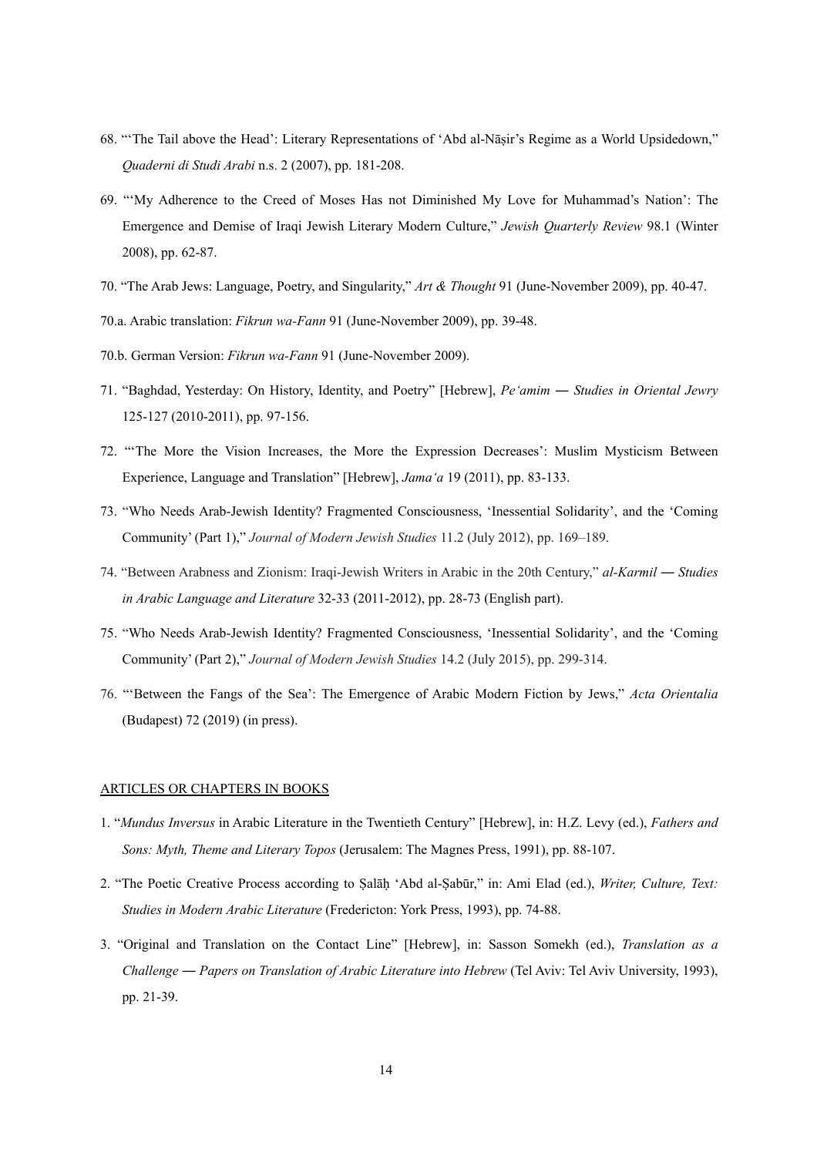- 68. "'The Tail above the Head': Literary Representations of 'Abd al-Nāṣir's Regime as a World Upsidedown," *Quaderni di Studi Arabi* n.s. 2 (2007), pp. 181-208.
- 69. "'My Adherence to the Creed of Moses Has not Diminished My Love for Muhammad's Nation': The Emergence and Demise of Iraqi Jewish Literary Modern Culture," *Jewish Quarterly Review* 98.1 (Winter 2008), pp. 62-87.
- 70. "The Arab Jews: Language, Poetry, and Singularity," *Art & Thought* 91 (June-November 2009), pp. 40-47.
- 70.a. Arabic translation: *Fikrun wa-Fann* 91 (June-November 2009), pp. 39-48.
- 70.b. German Version: *Fikrun wa-Fann* 91 (June-November 2009).
- 71. "Baghdad, Yesterday: On History, Identity, and Poetry" [Hebrew], *Pe'amim* ― *Studies in Oriental Jewry* 125-127 (2010-2011), pp. 97-156.
- 72. "'The More the Vision Increases, the More the Expression Decreases': Muslim Mysticism Between Experience, Language and Translation" [Hebrew], *Jama'a* 19 (2011), pp. 83-133.
- 73. "Who Needs Arab-Jewish Identity? Fragmented Consciousness, 'Inessential Solidarity', and the 'Coming Community' (Part 1)," *Journal of Modern Jewish Studies* 11.2 (July 2012), pp. 169–189.
- 74. "Between Arabness and Zionism: Iraqi-Jewish Writers in Arabic in the 20th Century," *al-Karmil* ― *Studies in Arabic Language and Literature* 32-33 (2011-2012), pp. 28-73 (English part).
- 75. "Who Needs Arab-Jewish Identity? Fragmented Consciousness, 'Inessential Solidarity', and the 'Coming Community' (Part 2)," *Journal of Modern Jewish Studies* 14.2 (July 2015), pp. 299-314.
- 76. "'Between the Fangs of the Sea': The Emergence of Arabic Modern Fiction by Jews," *Acta Orientalia* (Budapest) 72 (2019) (in press).

### ARTICLES OR CHAPTERS IN BOOKS

- 1. "*Mundus Inversus* in Arabic Literature in the Twentieth Century" [Hebrew], in: H.Z. Levy (ed.), *Fathers and Sons: Myth, Theme and Literary Topos* (Jerusalem: The Magnes Press, 1991), pp. 88-107.
- 2. "The Poetic Creative Process according to Ṣalāḥ 'Abd al-Ṣabūr," in: Ami Elad (ed.), *Writer, Culture, Text: Studies in Modern Arabic Literature* (Fredericton: York Press, 1993), pp. 74-88.
- 3. "Original and Translation on the Contact Line" [Hebrew], in: Sasson Somekh (ed.), *Translation as a Challenge* ― *Papers on Translation of Arabic Literature into Hebrew* (Tel Aviv: Tel Aviv University, 1993), pp. 21-39.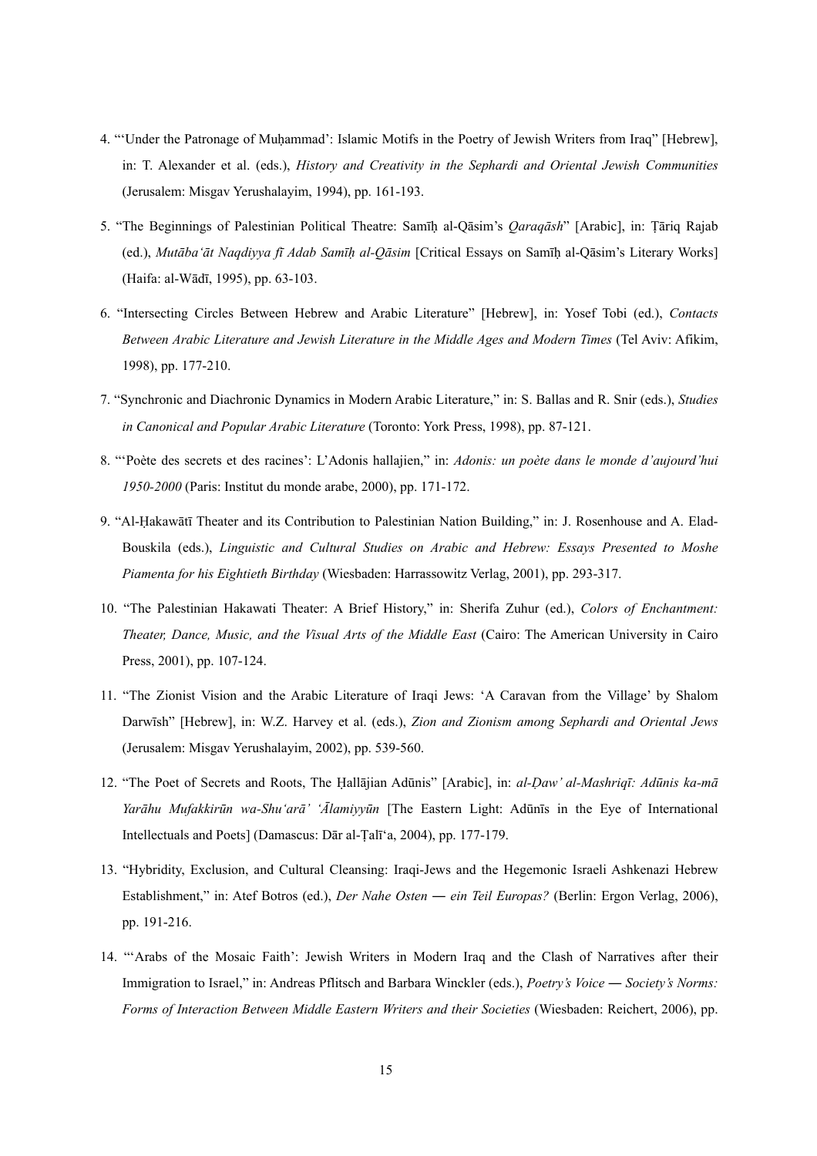- 4. "'Under the Patronage of Muhammad': Islamic Motifs in the Poetry of Jewish Writers from Iraq" [Hebrew], in: T. Alexander et al. (eds.), *History and Creativity in the Sephardi and Oriental Jewish Communities* (Jerusalem: Misgav Yerushalayim, 1994), pp. 161-193.
- 5. "The Beginnings of Palestinian Political Theatre: Samīḥ al-Qāsim's *Qaraqāsh*" [Arabic], in: Ṭāriq Rajab (ed.), *Mutāba'āt Naqdiyya fī Adab Samīḥ al-Qāsim* [Critical Essays on Samīḥ al-Qāsim's Literary Works] (Haifa: al-Wādī, 1995), pp. 63-103.
- 6. "Intersecting Circles Between Hebrew and Arabic Literature" [Hebrew], in: Yosef Tobi (ed.), *Contacts Between Arabic Literature and Jewish Literature in the Middle Ages and Modern Times* (Tel Aviv: Afikim, 1998), pp. 177-210.
- 7. "Synchronic and Diachronic Dynamics in Modern Arabic Literature," in: S. Ballas and R. Snir (eds.), *Studies in Canonical and Popular Arabic Literature* (Toronto: York Press, 1998), pp. 87-121.
- 8. "'Poète des secrets et des racines': L'Adonis hallajien," in: *Adonis: un poète dans le monde d'aujourd'hui 1950-2000* (Paris: Institut du monde arabe, 2000), pp. 171-172.
- 9. "Al-Ḥakawātī Theater and its Contribution to Palestinian Nation Building," in: J. Rosenhouse and A. Elad-Bouskila (eds.), *Linguistic and Cultural Studies on Arabic and Hebrew: Essays Presented to Moshe Piamenta for his Eightieth Birthday* (Wiesbaden: Harrassowitz Verlag, 2001), pp. 293-317.
- 10. "The Palestinian Hakawati Theater: A Brief History," in: Sherifa Zuhur (ed.), *Colors of Enchantment: Theater, Dance, Music, and the Visual Arts of the Middle East* (Cairo: The American University in Cairo Press, 2001), pp. 107-124.
- 11. "The Zionist Vision and the Arabic Literature of Iraqi Jews: 'A Caravan from the Village' by Shalom Darwīsh" [Hebrew], in: W.Z. Harvey et al. (eds.), *Zion and Zionism among Sephardi and Oriental Jews* (Jerusalem: Misgav Yerushalayim, 2002), pp. 539-560.
- 12. "The Poet of Secrets and Roots, The Ḥallājian Adūnis" [Arabic], in: *al-Ḍaw' al-Mashriqī: Adūnis ka-mā Yarāhu Mufakkirūn wa-Shu'arā' 'Ālamiyyūn* [The Eastern Light: Adūnīs in the Eye of International Intellectuals and Poets] (Damascus: Dār al-Ṭalī'a, 2004), pp. 177-179.
- 13. "Hybridity, Exclusion, and Cultural Cleansing: Iraqi-Jews and the Hegemonic Israeli Ashkenazi Hebrew Establishment," in: Atef Botros (ed.), *Der Nahe Osten ― ein Teil Europas?* (Berlin: Ergon Verlag, 2006), pp. 191-216.
- 14. "'Arabs of the Mosaic Faith': Jewish Writers in Modern Iraq and the Clash of Narratives after their Immigration to Israel," in: Andreas Pflitsch and Barbara Winckler (eds.), *Poetry's Voice ― Society's Norms: Forms of Interaction Between Middle Eastern Writers and their Societies* (Wiesbaden: Reichert, 2006), pp.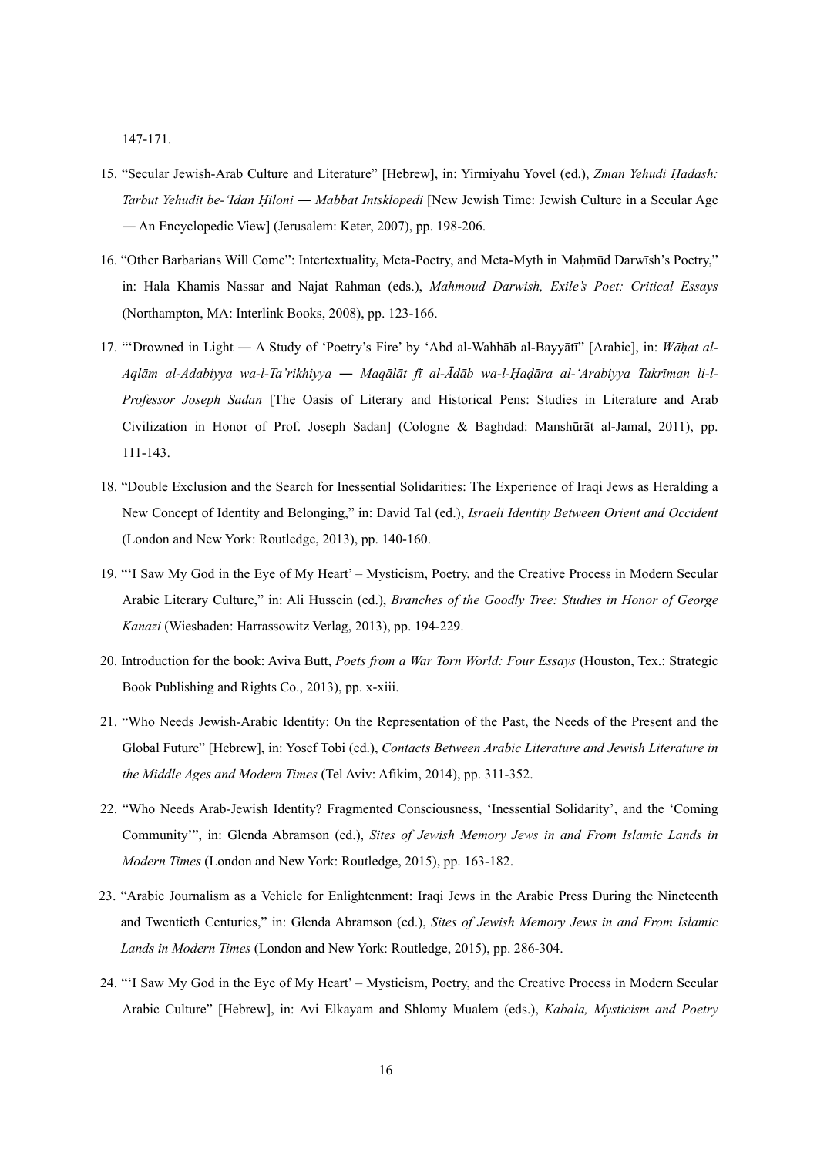147-171.

- 15. "Secular Jewish-Arab Culture and Literature" [Hebrew], in: Yirmiyahu Yovel (ed.), *Zman Yehudi Ḥadash: Tarbut Yehudit be-'Idan Ḥiloni ― Mabbat Intsklopedi* [New Jewish Time: Jewish Culture in a Secular Age ― An Encyclopedic View] (Jerusalem: Keter, 2007), pp. 198-206.
- 16. "Other Barbarians Will Come": Intertextuality, Meta-Poetry, and Meta-Myth in Maḥmūd Darwīsh's Poetry," in: Hala Khamis Nassar and Najat Rahman (eds.), *Mahmoud Darwish, Exile's Poet: Critical Essays* (Northampton, MA: Interlink Books, 2008), pp. 123-166.
- 17. "'Drowned in Light ― A Study of 'Poetry's Fire' by 'Abd al-Wahhāb al-Bayyātī" [Arabic], in: *Wāḥat al-*Aqlām al-Adabiyya wa-l-Ta'rikhiyya — Maqālāt fī al-Ādāb wa-l-Hadāra al-'Arabiyya Takrīman li-l-*Professor Joseph Sadan* [The Oasis of Literary and Historical Pens: Studies in Literature and Arab Civilization in Honor of Prof. Joseph Sadan] (Cologne & Baghdad: Manshūrāt al-Jamal, 2011), pp. 111-143.
- 18. "Double Exclusion and the Search for Inessential Solidarities: The Experience of Iraqi Jews as Heralding a New Concept of Identity and Belonging," in: David Tal (ed.), *Israeli Identity Between Orient and Occident* (London and New York: Routledge, 2013), pp. 140-160.
- 19. "'I Saw My God in the Eye of My Heart' Mysticism, Poetry, and the Creative Process in Modern Secular Arabic Literary Culture," in: Ali Hussein (ed.), *Branches of the Goodly Tree: Studies in Honor of George Kanazi* (Wiesbaden: Harrassowitz Verlag, 2013), pp. 194-229.
- 20. Introduction for the book: Aviva Butt, *Poets from a War Torn World: Four Essays* (Houston, Tex.: Strategic Book Publishing and Rights Co., 2013), pp. x-xiii.
- 21. "Who Needs Jewish-Arabic Identity: On the Representation of the Past, the Needs of the Present and the Global Future" [Hebrew], in: Yosef Tobi (ed.), *Contacts Between Arabic Literature and Jewish Literature in the Middle Ages and Modern Times* (Tel Aviv: Afikim, 2014), pp. 311-352.
- 22. "Who Needs Arab-Jewish Identity? Fragmented Consciousness, 'Inessential Solidarity', and the 'Coming Community'", in: Glenda Abramson (ed.), *Sites of Jewish Memory Jews in and From Islamic Lands in Modern Times* (London and New York: Routledge, 2015), pp. 163-182.
- 23. "Arabic Journalism as a Vehicle for Enlightenment: Iraqi Jews in the Arabic Press During the Nineteenth and Twentieth Centuries," in: Glenda Abramson (ed.), *Sites of Jewish Memory Jews in and From Islamic Lands in Modern Times* (London and New York: Routledge, 2015), pp. 286-304.
- 24. "'I Saw My God in the Eye of My Heart' Mysticism, Poetry, and the Creative Process in Modern Secular Arabic Culture" [Hebrew], in: Avi Elkayam and Shlomy Mualem (eds.), *Kabala, Mysticism and Poetry*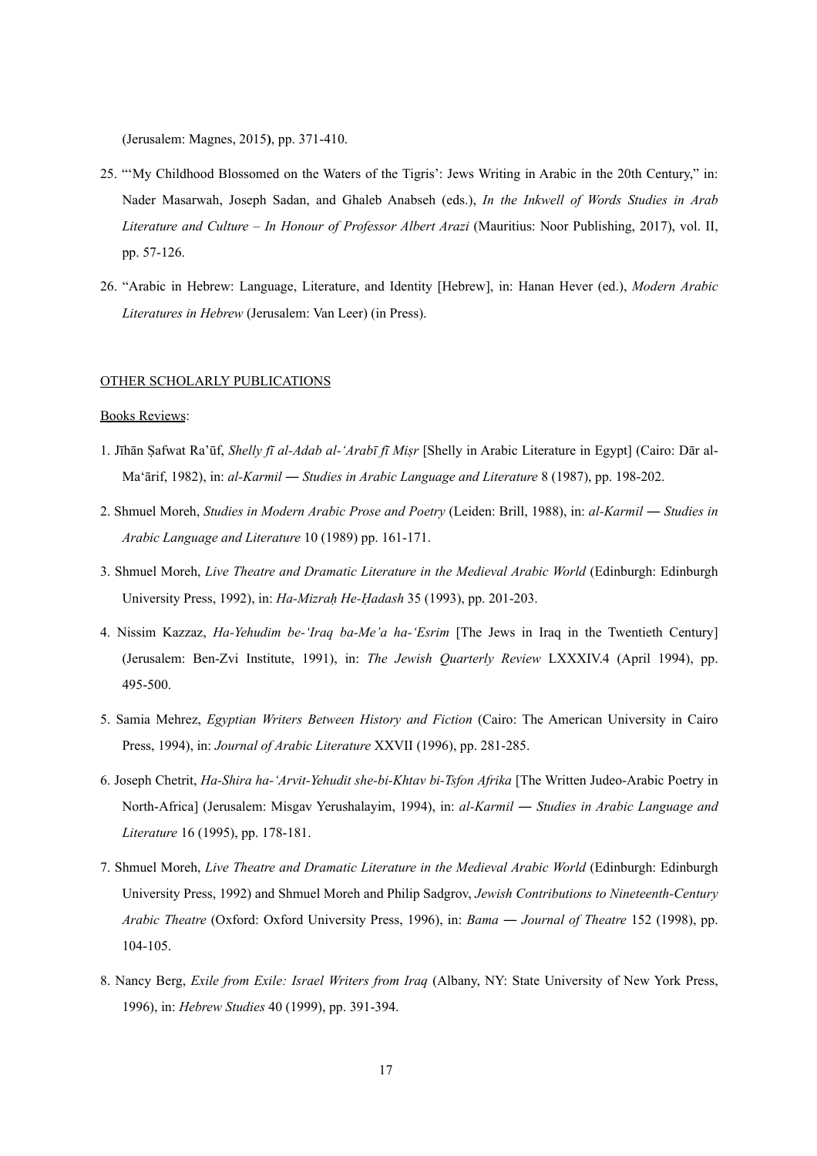(Jerusalem: Magnes, 2015**)**, pp. 371-410.

- 25. "'My Childhood Blossomed on the Waters of the Tigris': Jews Writing in Arabic in the 20th Century," in: Nader Masarwah, Joseph Sadan, and Ghaleb Anabseh (eds.), *In the Inkwell of Words Studies in Arab Literature and Culture – In Honour of Professor Albert Arazi* (Mauritius: Noor Publishing, 2017), vol. II, pp. 57-126.
- 26. "Arabic in Hebrew: Language, Literature, and Identity [Hebrew], in: Hanan Hever (ed.), *Modern Arabic Literatures in Hebrew* (Jerusalem: Van Leer) (in Press).

## OTHER SCHOLARLY PUBLICATIONS

### Books Reviews:

- 1. Jīhān Ṣafwat Ra'ūf, *Shelly fī al-Adab al-'Arabī fī Miṣr* [Shelly in Arabic Literature in Egypt] (Cairo: Dār al-Ma'ārif, 1982), in: *al-Karmil* ― *Studies in Arabic Language and Literature* 8 (1987), pp. 198-202.
- 2. Shmuel Moreh, *Studies in Modern Arabic Prose and Poetry* (Leiden: Brill, 1988), in: *al-Karmil* ― *Studies in Arabic Language and Literature* 10 (1989) pp. 161-171.
- 3. Shmuel Moreh, *Live Theatre and Dramatic Literature in the Medieval Arabic World* (Edinburgh: Edinburgh University Press, 1992), in: *Ha-Mizraḥ He-Ḥadash* 35 (1993), pp. 201-203.
- 4. Nissim Kazzaz, *Ha-Yehudim be-'Iraq ba-Me'a ha-'Esrim* [The Jews in Iraq in the Twentieth Century] (Jerusalem: Ben-Zvi Institute, 1991), in: *The Jewish Quarterly Review* LXXXIV.4 (April 1994), pp. 495-500.
- 5. Samia Mehrez, *Egyptian Writers Between History and Fiction* (Cairo: The American University in Cairo Press, 1994), in: *Journal of Arabic Literature* XXVII (1996), pp. 281-285.
- 6. Joseph Chetrit, *Ha-Shira ha-'Arvit-Yehudit she-bi-Khtav bi-Tsfon Afrika* [The Written Judeo-Arabic Poetry in North-Africa] (Jerusalem: Misgav Yerushalayim, 1994), in: *al-Karmil* ― *Studies in Arabic Language and Literature* 16 (1995), pp. 178-181.
- 7. Shmuel Moreh, *Live Theatre and Dramatic Literature in the Medieval Arabic World* (Edinburgh: Edinburgh University Press, 1992) and Shmuel Moreh and Philip Sadgrov, *Jewish Contributions to Nineteenth-Century Arabic Theatre* (Oxford: Oxford University Press, 1996), in: *Bama* ― *Journal of Theatre* 152 (1998), pp. 104-105.
- 8. Nancy Berg, *Exile from Exile: Israel Writers from Iraq* (Albany, NY: State University of New York Press, 1996), in: *Hebrew Studies* 40 (1999), pp. 391-394.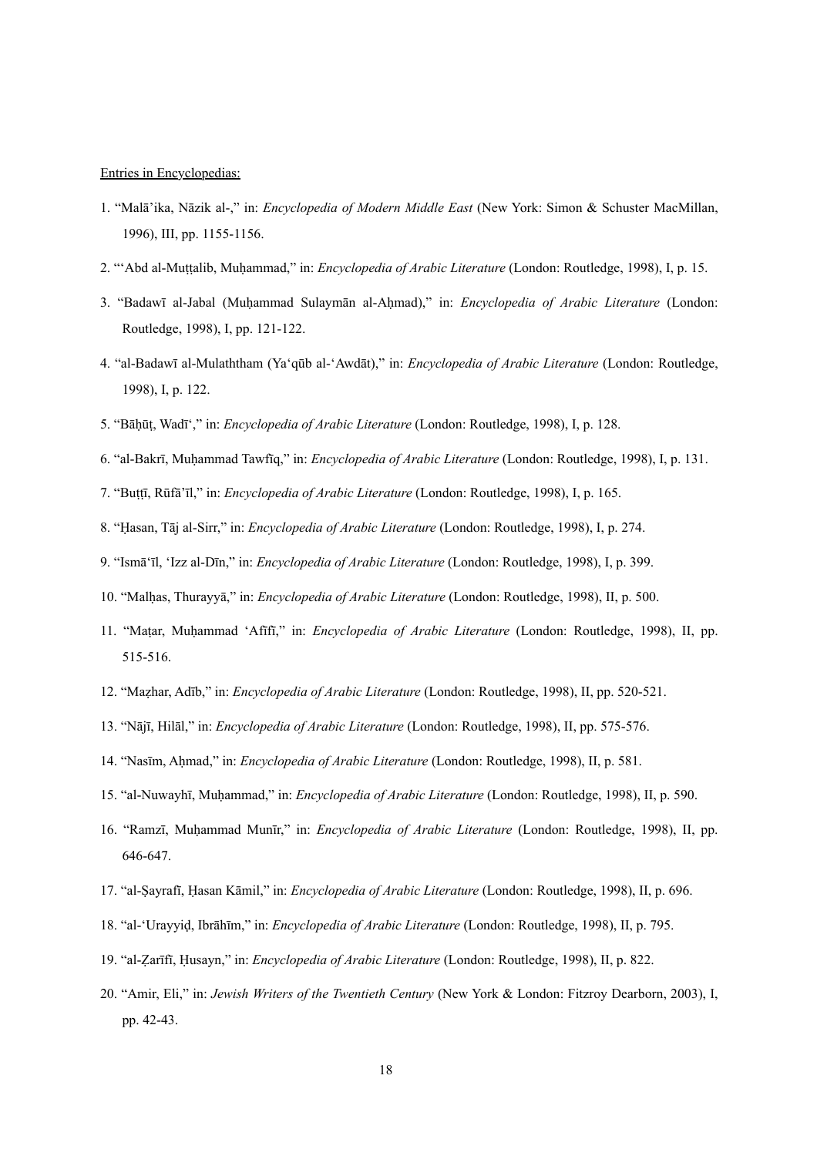### Entries in Encyclopedias:

- 1. "Malā'ika, Nāzik al-," in: *Encyclopedia of Modern Middle East* (New York: Simon & Schuster MacMillan, 1996), III, pp. 1155-1156.
- 2. "'Abd al-Muṭṭalib, Muḥammad," in: *Encyclopedia of Arabic Literature* (London: Routledge, 1998), I, p. 15.
- 3. "Badawī al-Jabal (Muḥammad Sulaymān al-Aḥmad)," in: *Encyclopedia of Arabic Literature* (London: Routledge, 1998), I, pp. 121-122.
- 4. "al-Badawī al-Mulaththam (Ya'qūb al-'Awdāt)," in: *Encyclopedia of Arabic Literature* (London: Routledge, 1998), I, p. 122.
- 5. "Bāḥūṭ, Wadī'," in: *Encyclopedia of Arabic Literature* (London: Routledge, 1998), I, p. 128.
- 6. "al-Bakrī, Muḥammad Tawfīq," in: *Encyclopedia of Arabic Literature* (London: Routledge, 1998), I, p. 131.
- 7. "Buṭṭī, Rūfā'īl," in: *Encyclopedia of Arabic Literature* (London: Routledge, 1998), I, p. 165.
- 8. "Ḥasan, Tāj al-Sirr," in: *Encyclopedia of Arabic Literature* (London: Routledge, 1998), I, p. 274.
- 9. "Ismā'īl, 'Izz al-Dīn," in: *Encyclopedia of Arabic Literature* (London: Routledge, 1998), I, p. 399.
- 10. "Malḥas, Thurayyā," in: *Encyclopedia of Arabic Literature* (London: Routledge, 1998), II, p. 500.
- 11. "Maṭar, Muḥammad 'Afīfī," in: *Encyclopedia of Arabic Literature* (London: Routledge, 1998), II, pp. 515-516.
- 12. "Maẓhar, Adīb," in: *Encyclopedia of Arabic Literature* (London: Routledge, 1998), II, pp. 520-521.
- 13. "Nājī, Hilāl," in: *Encyclopedia of Arabic Literature* (London: Routledge, 1998), II, pp. 575-576.
- 14. "Nasīm, Aḥmad," in: *Encyclopedia of Arabic Literature* (London: Routledge, 1998), II, p. 581.
- 15. "al-Nuwayhī, Muḥammad," in: *Encyclopedia of Arabic Literature* (London: Routledge, 1998), II, p. 590.
- 16. "Ramzī, Muḥammad Munīr," in: *Encyclopedia of Arabic Literature* (London: Routledge, 1998), II, pp. 646-647.
- 17. "al-Ṣayrafī, Ḥasan Kāmil," in: *Encyclopedia of Arabic Literature* (London: Routledge, 1998), II, p. 696.
- 18. "al-'Urayyiḍ, Ibrāhīm," in: *Encyclopedia of Arabic Literature* (London: Routledge, 1998), II, p. 795.
- 19. "al-Ẓarīfī, Ḥusayn," in: *Encyclopedia of Arabic Literature* (London: Routledge, 1998), II, p. 822.
- 20. "Amir, Eli," in: *Jewish Writers of the Twentieth Century* (New York & London: Fitzroy Dearborn, 2003), I, pp. 42-43.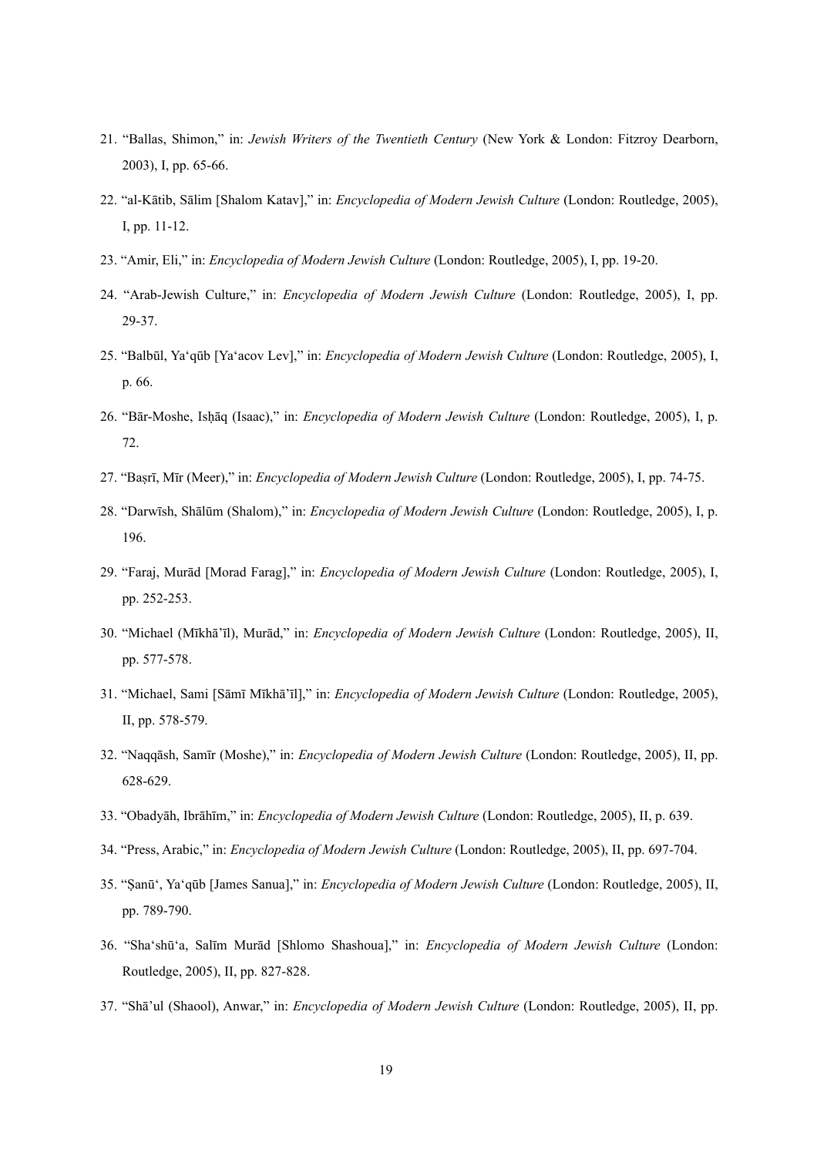- 21. "Ballas, Shimon," in: *Jewish Writers of the Twentieth Century* (New York & London: Fitzroy Dearborn, 2003), I, pp. 65-66.
- 22. "al-Kātib, Sālim [Shalom Katav]," in: *Encyclopedia of Modern Jewish Culture* (London: Routledge, 2005), I, pp. 11-12.
- 23. "Amir, Eli," in: *Encyclopedia of Modern Jewish Culture* (London: Routledge, 2005), I, pp. 19-20.
- 24. "Arab-Jewish Culture," in: *Encyclopedia of Modern Jewish Culture* (London: Routledge, 2005), I, pp. 29-37.
- 25. "Balbūl, Ya'qūb [Ya'acov Lev]," in: *Encyclopedia of Modern Jewish Culture* (London: Routledge, 2005), I, p. 66.
- 26. "Bār-Moshe, Isḥāq (Isaac)," in: *Encyclopedia of Modern Jewish Culture* (London: Routledge, 2005), I, p. 72.
- 27. "Baṣrī, Mīr (Meer)," in: *Encyclopedia of Modern Jewish Culture* (London: Routledge, 2005), I, pp. 74-75.
- 28. "Darwīsh, Shālūm (Shalom)," in: *Encyclopedia of Modern Jewish Culture* (London: Routledge, 2005), I, p. 196.
- 29. "Faraj, Murād [Morad Farag]," in: *Encyclopedia of Modern Jewish Culture* (London: Routledge, 2005), I, pp. 252-253.
- 30. "Michael (Mīkhā'īl), Murād," in: *Encyclopedia of Modern Jewish Culture* (London: Routledge, 2005), II, pp. 577-578.
- 31. "Michael, Sami [Sāmī Mīkhā'īl]," in: *Encyclopedia of Modern Jewish Culture* (London: Routledge, 2005), II, pp. 578-579.
- 32. "Naqqāsh, Samīr (Moshe)," in: *Encyclopedia of Modern Jewish Culture* (London: Routledge, 2005), II, pp. 628-629.
- 33. "Obadyāh, Ibrāhīm," in: *Encyclopedia of Modern Jewish Culture* (London: Routledge, 2005), II, p. 639.
- 34. "Press, Arabic," in: *Encyclopedia of Modern Jewish Culture* (London: Routledge, 2005), II, pp. 697-704.
- 35. "Ṣanū', Ya'qūb [James Sanua]," in: *Encyclopedia of Modern Jewish Culture* (London: Routledge, 2005), II, pp. 789-790.
- 36. "Sha'shū'a, Salīm Murād [Shlomo Shashoua]," in: *Encyclopedia of Modern Jewish Culture* (London: Routledge, 2005), II, pp. 827-828.
- 37. "Shā'ul (Shaool), Anwar," in: *Encyclopedia of Modern Jewish Culture* (London: Routledge, 2005), II, pp.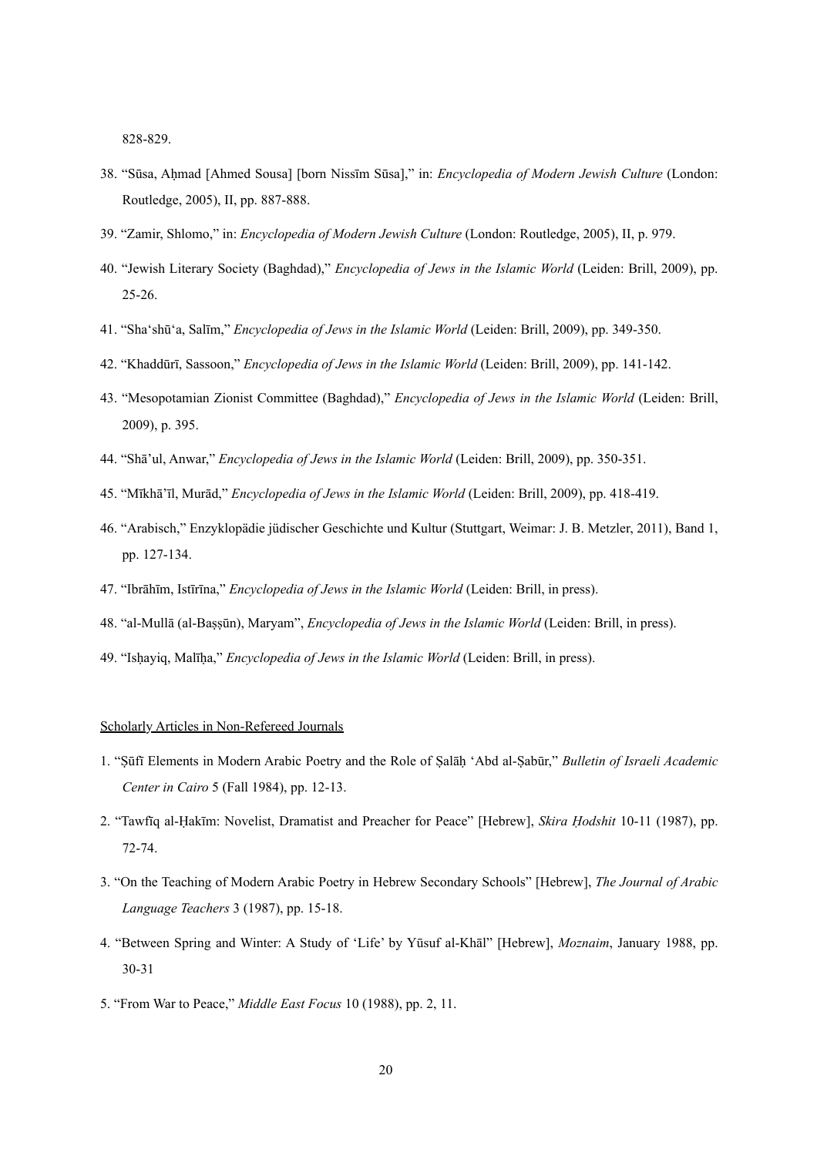828-829.

- 38. "Sūsa, Aḥmad [Ahmed Sousa] [born Nissīm Sūsa]," in: *Encyclopedia of Modern Jewish Culture* (London: Routledge, 2005), II, pp. 887-888.
- 39. "Zamir, Shlomo," in: *Encyclopedia of Modern Jewish Culture* (London: Routledge, 2005), II, p. 979.
- 40. "Jewish Literary Society (Baghdad)," *Encyclopedia of Jews in the Islamic World* (Leiden: Brill, 2009), pp. 25-26.
- 41. "Sha'shū'a, Salīm," *Encyclopedia of Jews in the Islamic World* (Leiden: Brill, 2009), pp. 349-350.
- 42. "Khaddūrī, Sassoon," *Encyclopedia of Jews in the Islamic World* (Leiden: Brill, 2009), pp. 141-142.
- 43. "Mesopotamian Zionist Committee (Baghdad)," *Encyclopedia of Jews in the Islamic World* (Leiden: Brill, 2009), p. 395.
- 44. "Shā'ul, Anwar," *Encyclopedia of Jews in the Islamic World* (Leiden: Brill, 2009), pp. 350-351.
- 45. "Mīkhā'īl, Murād," *Encyclopedia of Jews in the Islamic World* (Leiden: Brill, 2009), pp. 418-419.
- 46. "Arabisch," Enzyklopädie jüdischer Geschichte und Kultur (Stuttgart, Weimar: J. B. Metzler, 2011), Band 1, pp. 127-134.
- 47. "Ibrāhīm, Istīrīna," *Encyclopedia of Jews in the Islamic World* (Leiden: Brill, in press).
- 48. "al-Mullā (al-Baṣṣūn), Maryam", *Encyclopedia of Jews in the Islamic World* (Leiden: Brill, in press).
- 49. "Isḥayiq, Malīḥa," *Encyclopedia of Jews in the Islamic World* (Leiden: Brill, in press).

### Scholarly Articles in Non-Refereed Journals

- 1. "Ṣūfī Elements in Modern Arabic Poetry and the Role of Ṣalāḥ 'Abd al-Ṣabūr," *Bulletin of Israeli Academic Center in Cairo* 5 (Fall 1984), pp. 12-13.
- 2. "Tawfīq al-Ḥakīm: Novelist, Dramatist and Preacher for Peace" [Hebrew], *Skira Ḥodshit* 10-11 (1987), pp. 72-74.
- 3. "On the Teaching of Modern Arabic Poetry in Hebrew Secondary Schools" [Hebrew], *The Journal of Arabic Language Teachers* 3 (1987), pp. 15-18.
- 4. "Between Spring and Winter: A Study of 'Life' by Yūsuf al-Khāl" [Hebrew], *Moznaim*, January 1988, pp. 30-31
- 5. "From War to Peace," *Middle East Focus* 10 (1988), pp. 2, 11.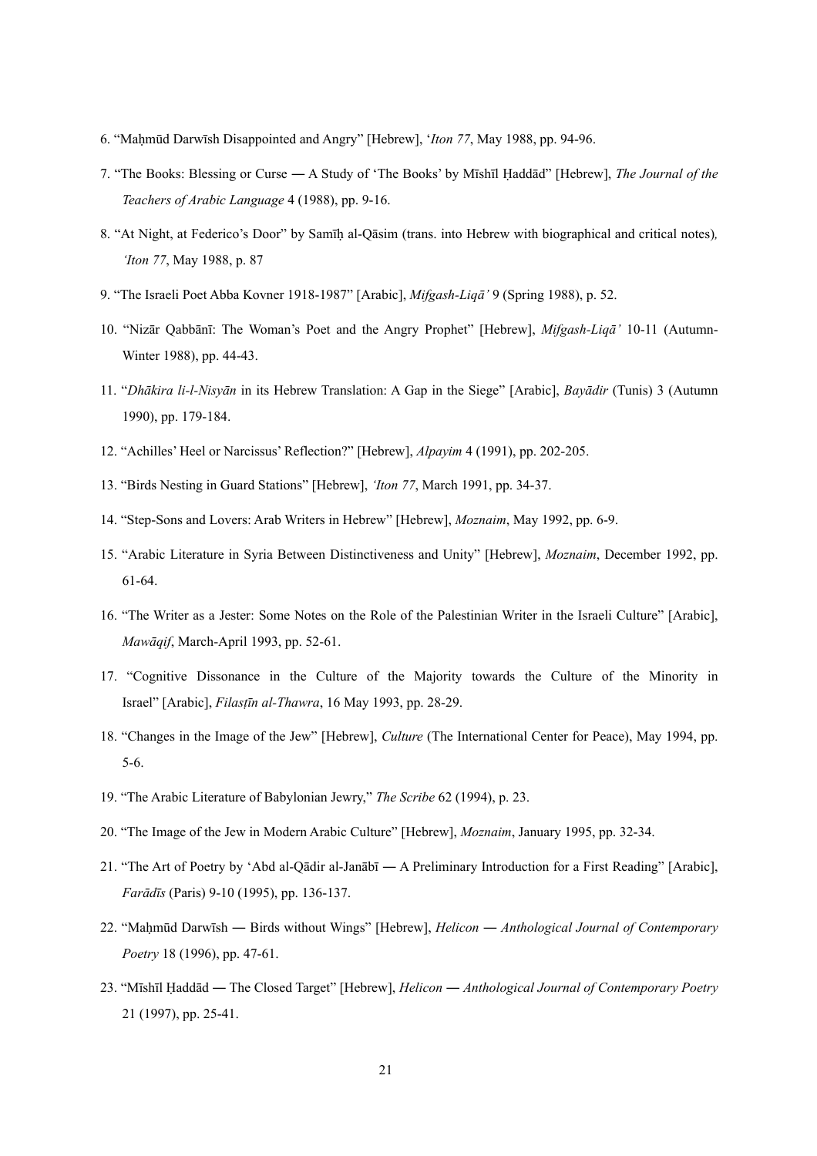- 6. "Maḥmūd Darwīsh Disappointed and Angry" [Hebrew], '*Iton 77*, May 1988, pp. 94-96.
- 7. "The Books: Blessing or Curse ― A Study of 'The Books' by Mīshīl Ḥaddād" [Hebrew], *The Journal of the Teachers of Arabic Language* 4 (1988), pp. 9-16.
- 8. "At Night, at Federico's Door" by Samīḥ al-Qāsim (trans. into Hebrew with biographical and critical notes)*, 'Iton 77*, May 1988, p. 87
- 9. "The Israeli Poet Abba Kovner 1918-1987" [Arabic], *Mifgash-Liqā'* 9 (Spring 1988), p. 52.
- 10. "Nizār Qabbānī: The Woman's Poet and the Angry Prophet" [Hebrew], *Mifgash-Liqā'* 10-11 (Autumn-Winter 1988), pp. 44-43.
- 11. "*Dhākira li-l-Nisyān* in its Hebrew Translation: A Gap in the Siege" [Arabic], *Bayādir* (Tunis) 3 (Autumn 1990), pp. 179-184.
- 12. "Achilles' Heel or Narcissus' Reflection?" [Hebrew], *Alpayim* 4 (1991), pp. 202-205.
- 13. "Birds Nesting in Guard Stations" [Hebrew], *'Iton 77*, March 1991, pp. 34-37.
- 14. "Step-Sons and Lovers: Arab Writers in Hebrew" [Hebrew], *Moznaim*, May 1992, pp. 6-9.
- 15. "Arabic Literature in Syria Between Distinctiveness and Unity" [Hebrew], *Moznaim*, December 1992, pp. 61-64.
- 16. "The Writer as a Jester: Some Notes on the Role of the Palestinian Writer in the Israeli Culture" [Arabic], *Mawāqif*, March-April 1993, pp. 52-61.
- 17. "Cognitive Dissonance in the Culture of the Majority towards the Culture of the Minority in Israel" [Arabic], *Filasṭīn al-Thawra*, 16 May 1993, pp. 28-29.
- 18. "Changes in the Image of the Jew" [Hebrew], *Culture* (The International Center for Peace), May 1994, pp. 5-6.
- 19. "The Arabic Literature of Babylonian Jewry," *The Scribe* 62 (1994), p. 23.
- 20. "The Image of the Jew in Modern Arabic Culture" [Hebrew], *Moznaim*, January 1995, pp. 32-34.
- 21. "The Art of Poetry by 'Abd al-Qādir al-Janābī ― A Preliminary Introduction for a First Reading" [Arabic], *Farādīs* (Paris) 9-10 (1995), pp. 136-137.
- 22. "Maḥmūd Darwīsh ― Birds without Wings" [Hebrew], *Helicon* ― *Anthological Journal of Contemporary Poetry* 18 (1996), pp. 47-61.
- 23. "Mīshīl Ḥaddād ― The Closed Target" [Hebrew], *Helicon* ― *Anthological Journal of Contemporary Poetry* 21 (1997), pp. 25-41.